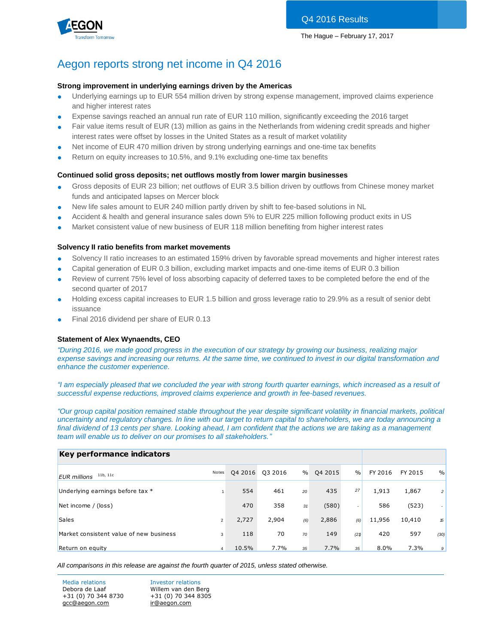Q4 2016 Results



## Aegon reports strong net income in Q4 2016

#### **Strong improvement in underlying earnings driven by the Americas**

- Underlying earnings up to EUR 554 million driven by strong expense management, improved claims experience and higher interest rates
- Expense savings reached an annual run rate of EUR 110 million, significantly exceeding the 2016 target
- Fair value items result of EUR (13) million as gains in the Netherlands from widening credit spreads and higher interest rates were offset by losses in the United States as a result of market volatility
- Net income of EUR 470 million driven by strong underlying earnings and one-time tax benefits
- Return on equity increases to 10.5%, and 9.1% excluding one-time tax benefits

#### **Continued solid gross deposits; net outflows mostly from lower margin businesses**

- Gross deposits of EUR 23 billion; net outflows of EUR 3.5 billion driven by outflows from Chinese money market funds and anticipated lapses on Mercer block
- New life sales amount to EUR 240 million partly driven by shift to fee-based solutions in NL
- Accident & health and general insurance sales down 5% to EUR 225 million following product exits in US
- Market consistent value of new business of EUR 118 million benefiting from higher interest rates

### **Solvency II ratio benefits from market movements**

- Solvency II ratio increases to an estimated 159% driven by favorable spread movements and higher interest rates
- Capital generation of EUR 0.3 billion, excluding market impacts and one-time items of EUR 0.3 billion
- Review of current 75% level of loss absorbing capacity of deferred taxes to be completed before the end of the second quarter of 2017
- Holding excess capital increases to EUR 1.5 billion and gross leverage ratio to 29.9% as a result of senior debt issuance
- Final 2016 dividend per share of EUR 0.13

## **Statement of Alex Wynaendts, CEO**

*"During 2016, we made good progress in the execution of our strategy by growing our business, realizing major expense savings and increasing our returns. At the same time, we continued to invest in our digital transformation and enhance the customer experience.* 

*"I am especially pleased that we concluded the year with strong fourth quarter earnings, which increased as a result of successful expense reductions, improved claims experience and growth in fee-based revenues.* 

*"Our group capital position remained stable throughout the year despite significant volatility in financial markets, political uncertainty and regulatory changes. In line with our target to return capital to shareholders, we are today announcing a*  final dividend of 13 cents per share. Looking ahead, I am confident that the actions we are taking as a management *team will enable us to deliver on our promises to all stakeholders."*

| Key performance indicators              |                |         |         |      |         |               |         |         |                |
|-----------------------------------------|----------------|---------|---------|------|---------|---------------|---------|---------|----------------|
| 11b, 11c<br><b>EUR</b> millions         | Notes          | Q4 2016 | Q3 2016 | $\%$ | Q4 2015 | $\frac{0}{0}$ | FY 2016 | FY 2015 | $\frac{0}{0}$  |
| Underlying earnings before tax *        |                | 554     | 461     | 20   | 435     | 27            | 1,913   | 1,867   | $\overline{c}$ |
| Net income / (loss)                     |                | 470     | 358     | 31   | (580)   | ۰.            | 586     | (523)   |                |
| <b>Sales</b>                            | $\overline{2}$ | 2,727   | 2,904   | (6)  | 2,886   | (6)           | 11,956  | 10,410  | 15             |
| Market consistent value of new business | 3              | 118     | 70      | 70   | 149     | (21)          | 420     | 597     | (30)           |
| Return on equity                        | 4              | 10.5%   | 7.7%    | 35   | 7.7%    | 35            | $8.0\%$ | 7.3%    | 9              |

*All comparisons in this release are against the fourth quarter of 2015, unless stated otherwise.*

Media relations **Investor relations** Debora de Laaf Willem van den Berg +31 (0) 70 344 8730 +31 (0) 70 344 8305 [gcc@aegon.com](mailto:gcc@aegon.com) [ir@aegon.com](mailto:ir@aegon.com)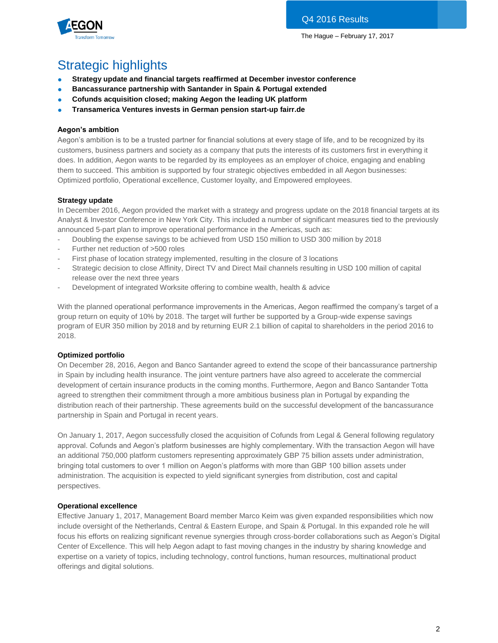

# Strategic highlights

- **Strategy update and financial targets reaffirmed at December investor conference**
- **Bancassurance partnership with Santander in Spain & Portugal extended**
- **Cofunds acquisition closed; making Aegon the leading UK platform**
- **Transamerica Ventures invests in German pension start-up fairr.de**

## **Aegon's ambition**

Aegon's ambition is to be a trusted partner for financial solutions at every stage of life, and to be recognized by its customers, business partners and society as a company that puts the interests of its customers first in everything it does. In addition, Aegon wants to be regarded by its employees as an employer of choice, engaging and enabling them to succeed. This ambition is supported by four strategic objectives embedded in all Aegon businesses: Optimized portfolio, Operational excellence, Customer loyalty, and Empowered employees.

## **Strategy update**

In December 2016, Aegon provided the market with a strategy and progress update on the 2018 financial targets at its Analyst & Investor Conference in New York City. This included a number of significant measures tied to the previously announced 5-part plan to improve operational performance in the Americas, such as:

- Doubling the expense savings to be achieved from USD 150 million to USD 300 million by 2018
- Further net reduction of >500 roles
- First phase of location strategy implemented, resulting in the closure of 3 locations
- Strategic decision to close Affinity, Direct TV and Direct Mail channels resulting in USD 100 million of capital release over the next three years
- Development of integrated Worksite offering to combine wealth, health & advice

With the planned operational performance improvements in the Americas, Aegon reaffirmed the company's target of a group return on equity of 10% by 2018. The target will further be supported by a Group-wide expense savings program of EUR 350 million by 2018 and by returning EUR 2.1 billion of capital to shareholders in the period 2016 to 2018.

## **Optimized portfolio**

On December 28, 2016, Aegon and Banco Santander agreed to extend the scope of their bancassurance partnership in Spain by including health insurance. The joint venture partners have also agreed to accelerate the commercial development of certain insurance products in the coming months. Furthermore, Aegon and Banco Santander Totta agreed to strengthen their commitment through a more ambitious business plan in Portugal by expanding the distribution reach of their partnership. These agreements build on the successful development of the bancassurance partnership in Spain and Portugal in recent years.

On January 1, 2017, Aegon successfully closed the acquisition of Cofunds from Legal & General following regulatory approval. Cofunds and Aegon's platform businesses are highly complementary. With the transaction Aegon will have an additional 750,000 platform customers representing approximately GBP 75 billion assets under administration, bringing total customers to over 1 million on Aegon's platforms with more than GBP 100 billion assets under administration. The acquisition is expected to yield significant synergies from distribution, cost and capital perspectives.

## **Operational excellence**

Effective January 1, 2017, Management Board member Marco Keim was given expanded responsibilities which now include oversight of the Netherlands, Central & Eastern Europe, and Spain & Portugal. In this expanded role he will focus his efforts on realizing significant revenue synergies through cross-border collaborations such as Aegon's Digital Center of Excellence. This will help Aegon adapt to fast moving changes in the industry by sharing knowledge and expertise on a variety of topics, including technology, control functions, human resources, multinational product offerings and digital solutions.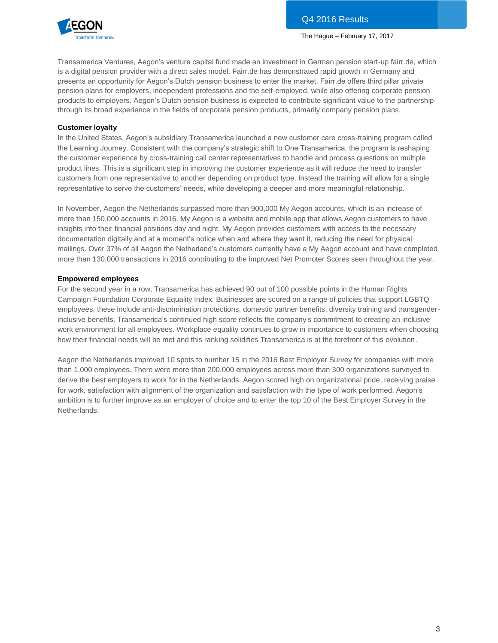

Transamerica Ventures, Aegon's venture capital fund made an investment in German pension start-up fairr.de, which is a digital pension provider with a direct sales model. Fairr.de has demonstrated rapid growth in Germany and presents an opportunity for Aegon's Dutch pension business to enter the market. Fairr.de offers third pillar private pension plans for employers, independent professions and the self-employed, while also offering corporate pension products to employers. Aegon's Dutch pension business is expected to contribute significant value to the partnership through its broad experience in the fields of corporate pension products, primarily company pension plans.

### **Customer loyalty**

In the United States, Aegon's subsidiary Transamerica launched a new customer care cross-training program called the Learning Journey. Consistent with the company's strategic shift to One Transamerica, the program is reshaping the customer experience by cross-training call center representatives to handle and process questions on multiple product lines. This is a significant step in improving the customer experience as it will reduce the need to transfer customers from one representative to another depending on product type. Instead the training will allow for a single representative to serve the customers' needs, while developing a deeper and more meaningful relationship.

In November, Aegon the Netherlands surpassed more than 900,000 My Aegon accounts, which is an increase of more than 150,000 accounts in 2016. My Aegon is a website and mobile app that allows Aegon customers to have insights into their financial positions day and night. My Aegon provides customers with access to the necessary documentation digitally and at a moment's notice when and where they want it, reducing the need for physical mailings. Over 37% of all Aegon the Netherland's customers currently have a My Aegon account and have completed more than 130,000 transactions in 2016 contributing to the improved Net Promoter Scores seen throughout the year.

#### **Empowered employees**

For the second year in a row, Transamerica has achieved 90 out of 100 possible points in the Human Rights Campaign Foundation Corporate Equality Index. Businesses are scored on a range of policies that support LGBTQ employees, these include anti-discrimination protections, domestic partner benefits, diversity training and transgenderinclusive benefits. Transamerica's continued high score reflects the company's commitment to creating an inclusive work environment for all employees. Workplace equality continues to grow in importance to customers when choosing how their financial needs will be met and this ranking solidifies Transamerica is at the forefront of this evolution.

Aegon the Netherlands improved 10 spots to number 15 in the 2016 Best Employer Survey for companies with more than 1,000 employees. There were more than 200,000 employees across more than 300 organizations surveyed to derive the best employers to work for in the Netherlands. Aegon scored high on organizational pride, receiving praise for work, satisfaction with alignment of the organization and satisfaction with the type of work performed. Aegon's ambition is to further improve as an employer of choice and to enter the top 10 of the Best Employer Survey in the Netherlands.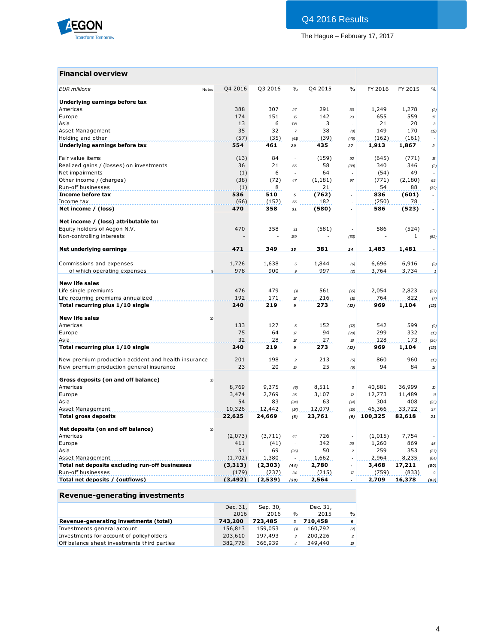

## **Financial overview**

| <b>EUR</b> millions<br>Notes                             | Q4 2016        | Q3 2016        | $\%$           | Q4 2015        | $\frac{0}{0}$        | FY 2016          | FY 2015 | $\frac{0}{0}$            |
|----------------------------------------------------------|----------------|----------------|----------------|----------------|----------------------|------------------|---------|--------------------------|
| Underlying earnings before tax                           |                |                |                |                |                      |                  |         |                          |
| Americas                                                 | 388            | 307            | 27             | 291            | 33                   | 1,249            | 1,278   | (2)                      |
| Europe                                                   | 174            | 151            | 15             | 142            | 23                   | 655              | 559     | $\sqrt{7}$               |
| Asia                                                     | 13             | 6              | 108            | 3              | $\overline{a}$       | 21               | 20      | $\mathbf{3}$             |
| Asset Management                                         | 35             | 32             | $\overline{7}$ | 38             | (8)                  | 149              | 170     | (2)                      |
| Holding and other                                        | (57)           | (35)           | (61)           | (39)           | (45)                 | (162)            | (161)   |                          |
| Underlying earnings before tax                           | 554            | 461            | 20             | 435            | 27                   | 1,913            | 1,867   | $\overline{\mathbf{2}}$  |
| Fair value items                                         | (13)           | 84             | $\overline{a}$ | (159)          | 92                   | (645)            | (771)   | 16                       |
| Realized gains / (losses) on investments                 | 36             | 21             | 66             | 58             | (39)                 | 340              | 346     | (2)                      |
| Net impairments                                          | (1)            | 6              |                | 64             |                      | (54)             | 49      | $\sim$                   |
| Other income / (charges)                                 | (38)           | (72)           | 47             | (1, 181)       | 97                   | (771)            | (2,180) | 65                       |
| Run-off businesses                                       | (1)            | 8              |                | 21             |                      | 54               | 88      | (39)                     |
| Income before tax                                        | 536            | 510            | 5              | (762)          |                      | 836              | (601)   | $\overline{\phantom{a}}$ |
| Income tax                                               | (66)           | (152)          | 56             | 182            |                      | (250)            | 78      |                          |
| Net income / (loss)                                      | 470            | 358            | 31             | (580)          | $\overline{a}$       | 586              | (523)   | $\overline{\phantom{a}}$ |
|                                                          |                |                |                |                |                      |                  |         |                          |
| Net income / (loss) attributable to:                     |                |                |                |                |                      |                  |         |                          |
| Equity holders of Aegon N.V.                             | 470            | 358            | 31             | (581)          |                      | 586              | (524)   |                          |
| Non-controlling interests                                |                |                | 159            |                | (63)                 |                  | 1       | (52)                     |
| Net underlying earnings                                  | 471            | 349            | 35             | 381            | 24                   | 1,483            | 1,481   |                          |
| Commissions and expenses                                 | 1,726          | 1,638          | 5              | 1,844          | (6)                  | 6,696            | 6,916   | (3)                      |
| of which operating expenses<br>9                         | 978            | 900            | $\mathfrak g$  | 997            | (2)                  | 3,764            | 3,734   | $\pmb{\mathcal{I}}$      |
|                                                          |                |                |                |                |                      |                  |         |                          |
| <b>New life sales</b>                                    |                |                |                |                |                      |                  |         |                          |
| Life single premiums                                     | 476            | 479            | (1)            | 561            | (15)                 | 2,054            | 2,823   | (27)                     |
| Life recurring premiums annualized                       | 192            | 171            | 12             | 216            | (11)                 | 764              | 822     | (7)                      |
| Total recurring plus 1/10 single                         | 240            | 219            | 9              | 273            | (12)                 | 969              | 1,104   | (12)                     |
| <b>New life sales</b><br>$\boldsymbol{\eta}$             |                |                |                |                |                      |                  |         |                          |
| Americas                                                 | 133            | 127            | 5              | 152            | (2)                  | 542              | 599     | (9)                      |
| Europe                                                   | 75             | 64             | $\tau$         | 94             | (20)                 | 299              | 332     | (10)                     |
| Asia                                                     | 32             | 28             | 12             | 27             | 18                   | 128              | 173     | (26)                     |
| Total recurring plus 1/10 single                         | 240            | 219            | 9              | 273            | (12)                 | 969              | 1,104   | (12)                     |
| New premium production accident and health insurance     | 201            | 198            | $\overline{c}$ | 213            | (5)                  | 860              | 960     | (10)                     |
| New premium production general insurance                 | 23             | 20             | 15             | 25             | (6)                  | 94               | 84      | $\mathcal D$             |
|                                                          |                |                |                |                |                      |                  |         |                          |
| Gross deposits (on and off balance)<br>10<br>Americas    |                |                |                |                |                      |                  | 36,999  |                          |
|                                                          | 8,769<br>3,474 | 9,375<br>2,769 | (6)            | 8,511<br>3,107 | $\sqrt{3}$           | 40,881<br>12,773 | 11,489  | $\pmb{\mathcal{D}}$      |
| Europe<br>Asia                                           | 54             | 83             | 25<br>(34)     | 63             | $\mathcal D$<br>(14) | 304              | 408     | $11\,$<br>(25)           |
| Asset Management                                         | 10,326         | 12,442         | (17)           | 12,079         | (5)                  | 46,366           | 33,722  | 37                       |
| <b>Total gross deposits</b>                              | 22,625         | 24,669         | (8)            | 23,761         | (5)                  | 100,325          | 82,618  | 21                       |
|                                                          |                |                |                |                |                      |                  |         |                          |
| Net deposits (on and off balance)<br>$\boldsymbol{\eta}$ |                |                |                |                |                      |                  |         |                          |
| Americas                                                 | (2,073)        | (3,711)        | 44             | 726            | $\sim$               | (1,015)          | 7,754   |                          |
| Europe                                                   | 411            | (41)           | $\overline{a}$ | 342            | 20                   | 1,260            | 869     | 45                       |
| Asia                                                     | 51             | 69             | (26)           | 50             | $\overline{c}$       | 259              | 353     | (27)                     |
| Asset Management                                         | (1,702)        | 1,380          |                | 1,662          |                      | 2,964            | 8,235   | (64)                     |
| Total net deposits excluding run-off businesses          | (3,313)        | (2,303)        | (44)           | 2,780          |                      | 3,468            | 17,211  | (80)                     |
| Run-off businesses                                       | (179)          | (237)          | 24             | (215)          | $\pi$                | (759)            | (833)   | 9                        |
| Total net deposits / (outflows)                          | (3, 492)       | (2,539)        | (38)           | 2,564          |                      | 2,709            | 16,378  | (83)                     |

## **Revenue-generating investments**

|                                             | Dec. 31, | Sep. 30, |               | Dec. 31, |                |
|---------------------------------------------|----------|----------|---------------|----------|----------------|
|                                             | 2016     | 2016     | $\frac{0}{0}$ | 2015     | $\frac{9}{6}$  |
| Revenue-generating investments (total)      | 743,200  | 723,485  |               | 710,458  | 5              |
| Investments general account                 | 156,813  | 159,053  | (1)           | 160,792  | (2)            |
| Investments for account of policyholders    | 203,610  | 197,493  | 3             | 200,226  | 2 <sup>1</sup> |
| Off balance sheet investments third parties | 382,776  | 366,939  |               | 349,440  | $\mathcal{D}$  |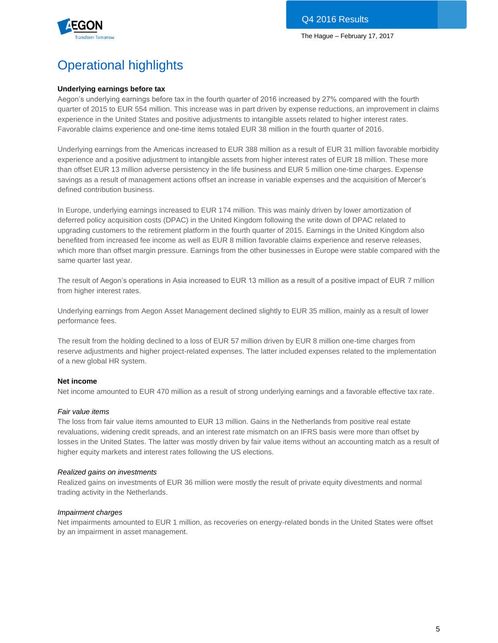

# Operational highlights

## **Underlying earnings before tax**

Aegon's underlying earnings before tax in the fourth quarter of 2016 increased by 27% compared with the fourth quarter of 2015 to EUR 554 million. This increase was in part driven by expense reductions, an improvement in claims experience in the United States and positive adjustments to intangible assets related to higher interest rates. Favorable claims experience and one-time items totaled EUR 38 million in the fourth quarter of 2016.

Underlying earnings from the Americas increased to EUR 388 million as a result of EUR 31 million favorable morbidity experience and a positive adjustment to intangible assets from higher interest rates of EUR 18 million. These more than offset EUR 13 million adverse persistency in the life business and EUR 5 million one-time charges. Expense savings as a result of management actions offset an increase in variable expenses and the acquisition of Mercer's defined contribution business.

In Europe, underlying earnings increased to EUR 174 million. This was mainly driven by lower amortization of deferred policy acquisition costs (DPAC) in the United Kingdom following the write down of DPAC related to upgrading customers to the retirement platform in the fourth quarter of 2015. Earnings in the United Kingdom also benefited from increased fee income as well as EUR 8 million favorable claims experience and reserve releases, which more than offset margin pressure. Earnings from the other businesses in Europe were stable compared with the same quarter last year.

The result of Aegon's operations in Asia increased to EUR 13 million as a result of a positive impact of EUR 7 million from higher interest rates.

Underlying earnings from Aegon Asset Management declined slightly to EUR 35 million, mainly as a result of lower performance fees.

The result from the holding declined to a loss of EUR 57 million driven by EUR 8 million one-time charges from reserve adjustments and higher project-related expenses. The latter included expenses related to the implementation of a new global HR system.

#### **Net income**

Net income amounted to EUR 470 million as a result of strong underlying earnings and a favorable effective tax rate.

#### *Fair value items*

The loss from fair value items amounted to EUR 13 million. Gains in the Netherlands from positive real estate revaluations, widening credit spreads, and an interest rate mismatch on an IFRS basis were more than offset by losses in the United States. The latter was mostly driven by fair value items without an accounting match as a result of higher equity markets and interest rates following the US elections.

#### *Realized gains on investments*

Realized gains on investments of EUR 36 million were mostly the result of private equity divestments and normal trading activity in the Netherlands.

#### *Impairment charges*

Net impairments amounted to EUR 1 million, as recoveries on energy-related bonds in the United States were offset by an impairment in asset management.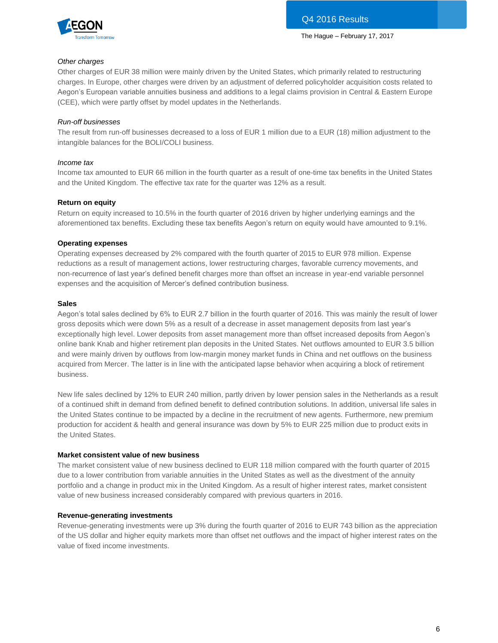

### *Other charges*

Other charges of EUR 38 million were mainly driven by the United States, which primarily related to restructuring charges. In Europe, other charges were driven by an adjustment of deferred policyholder acquisition costs related to Aegon's European variable annuities business and additions to a legal claims provision in Central & Eastern Europe (CEE), which were partly offset by model updates in the Netherlands.

### *Run-off businesses*

The result from run-off businesses decreased to a loss of EUR 1 million due to a EUR (18) million adjustment to the intangible balances for the BOLI/COLI business.

#### *Income tax*

Income tax amounted to EUR 66 million in the fourth quarter as a result of one-time tax benefits in the United States and the United Kingdom. The effective tax rate for the quarter was 12% as a result.

#### **Return on equity**

Return on equity increased to 10.5% in the fourth quarter of 2016 driven by higher underlying earnings and the aforementioned tax benefits. Excluding these tax benefits Aegon's return on equity would have amounted to 9.1%.

#### **Operating expenses**

Operating expenses decreased by 2% compared with the fourth quarter of 2015 to EUR 978 million. Expense reductions as a result of management actions, lower restructuring charges, favorable currency movements, and non-recurrence of last year's defined benefit charges more than offset an increase in year-end variable personnel expenses and the acquisition of Mercer's defined contribution business.

#### **Sales**

Aegon's total sales declined by 6% to EUR 2.7 billion in the fourth quarter of 2016. This was mainly the result of lower gross deposits which were down 5% as a result of a decrease in asset management deposits from last year's exceptionally high level. Lower deposits from asset management more than offset increased deposits from Aegon's online bank Knab and higher retirement plan deposits in the United States. Net outflows amounted to EUR 3.5 billion and were mainly driven by outflows from low-margin money market funds in China and net outflows on the business acquired from Mercer. The latter is in line with the anticipated lapse behavior when acquiring a block of retirement business.

New life sales declined by 12% to EUR 240 million, partly driven by lower pension sales in the Netherlands as a result of a continued shift in demand from defined benefit to defined contribution solutions. In addition, universal life sales in the United States continue to be impacted by a decline in the recruitment of new agents. Furthermore, new premium production for accident & health and general insurance was down by 5% to EUR 225 million due to product exits in the United States.

### **Market consistent value of new business**

The market consistent value of new business declined to EUR 118 million compared with the fourth quarter of 2015 due to a lower contribution from variable annuities in the United States as well as the divestment of the annuity portfolio and a change in product mix in the United Kingdom. As a result of higher interest rates, market consistent value of new business increased considerably compared with previous quarters in 2016.

#### **Revenue-generating investments**

Revenue-generating investments were up 3% during the fourth quarter of 2016 to EUR 743 billion as the appreciation of the US dollar and higher equity markets more than offset net outflows and the impact of higher interest rates on the value of fixed income investments.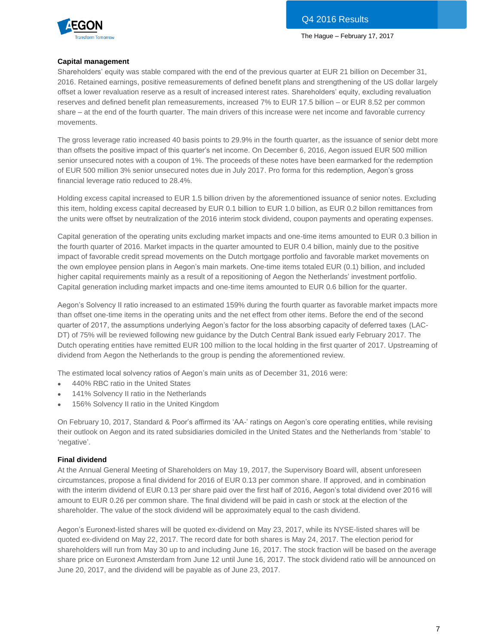



### **Capital management**

Shareholders' equity was stable compared with the end of the previous quarter at EUR 21 billion on December 31, 2016. Retained earnings, positive remeasurements of defined benefit plans and strengthening of the US dollar largely offset a lower revaluation reserve as a result of increased interest rates. Shareholders' equity, excluding revaluation reserves and defined benefit plan remeasurements, increased 7% to EUR 17.5 billion – or EUR 8.52 per common share – at the end of the fourth quarter. The main drivers of this increase were net income and favorable currency movements.

The gross leverage ratio increased 40 basis points to 29.9% in the fourth quarter, as the issuance of senior debt more than offsets the positive impact of this quarter's net income. On December 6, 2016, Aegon issued EUR 500 million senior unsecured notes with a coupon of 1%. The proceeds of these notes have been earmarked for the redemption of EUR 500 million 3% senior unsecured notes due in July 2017. Pro forma for this redemption, Aegon's gross financial leverage ratio reduced to 28.4%.

Holding excess capital increased to EUR 1.5 billion driven by the aforementioned issuance of senior notes. Excluding this item, holding excess capital decreased by EUR 0.1 billion to EUR 1.0 billion, as EUR 0.2 billon remittances from the units were offset by neutralization of the 2016 interim stock dividend, coupon payments and operating expenses.

Capital generation of the operating units excluding market impacts and one-time items amounted to EUR 0.3 billion in the fourth quarter of 2016. Market impacts in the quarter amounted to EUR 0.4 billion, mainly due to the positive impact of favorable credit spread movements on the Dutch mortgage portfolio and favorable market movements on the own employee pension plans in Aegon's main markets. One-time items totaled EUR (0.1) billion, and included higher capital requirements mainly as a result of a repositioning of Aegon the Netherlands' investment portfolio. Capital generation including market impacts and one-time items amounted to EUR 0.6 billion for the quarter.

Aegon's Solvency II ratio increased to an estimated 159% during the fourth quarter as favorable market impacts more than offset one-time items in the operating units and the net effect from other items. Before the end of the second quarter of 2017, the assumptions underlying Aegon's factor for the loss absorbing capacity of deferred taxes (LAC-DT) of 75% will be reviewed following new guidance by the Dutch Central Bank issued early February 2017. The Dutch operating entities have remitted EUR 100 million to the local holding in the first quarter of 2017. Upstreaming of dividend from Aegon the Netherlands to the group is pending the aforementioned review.

The estimated local solvency ratios of Aegon's main units as of December 31, 2016 were:

- 440% RBC ratio in the United States
- 141% Solvency II ratio in the Netherlands
- 156% Solvency II ratio in the United Kingdom

On February 10, 2017, Standard & Poor's affirmed its 'AA-' ratings on Aegon's core operating entities, while revising their outlook on Aegon and its rated subsidiaries domiciled in the United States and the Netherlands from 'stable' to 'negative'.

## **Final dividend**

At the Annual General Meeting of Shareholders on May 19, 2017, the Supervisory Board will, absent unforeseen circumstances, propose a final dividend for 2016 of EUR 0.13 per common share. If approved, and in combination with the interim dividend of EUR 0.13 per share paid over the first half of 2016, Aegon's total dividend over 2016 will amount to EUR 0.26 per common share. The final dividend will be paid in cash or stock at the election of the shareholder. The value of the stock dividend will be approximately equal to the cash dividend.

Aegon's Euronext-listed shares will be quoted ex-dividend on May 23, 2017, while its NYSE-listed shares will be quoted ex-dividend on May 22, 2017. The record date for both shares is May 24, 2017. The election period for shareholders will run from May 30 up to and including June 16, 2017. The stock fraction will be based on the average share price on Euronext Amsterdam from June 12 until June 16, 2017. The stock dividend ratio will be announced on June 20, 2017, and the dividend will be payable as of June 23, 2017.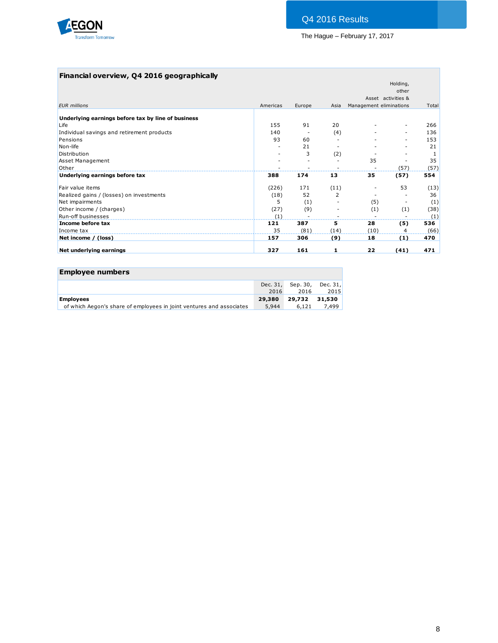

## **Financial overview, Q4 2016 geographically**

|                                                    |          |        |      |                         | Holding,           |       |
|----------------------------------------------------|----------|--------|------|-------------------------|--------------------|-------|
|                                                    |          |        |      |                         | other              |       |
|                                                    |          |        |      |                         | Asset activities & |       |
| <b>EUR</b> millions                                | Americas | Europe | Asia | Management eliminations |                    | Total |
| Underlying earnings before tax by line of business |          |        |      |                         |                    |       |
| Life                                               | 155      | 91     | 20   |                         |                    | 266   |
| Individual savings and retirement products         | 140      |        | (4)  |                         |                    | 136   |
| Pensions                                           | 93       | 60     |      |                         |                    | 153   |
| Non-life                                           |          | 21     |      |                         |                    | 21    |
| Distribution                                       |          | 3      | (2)  |                         |                    | -1    |
| <b>Asset Management</b>                            |          |        |      | 35                      |                    | 35    |
| Other                                              |          | -      |      |                         | (57)               | (57)  |
| Underlying earnings before tax                     | 388      | 174    | 13   | 35                      | (57)               | 554   |
| Fair value items                                   | (226)    | 171    | (11) |                         | 53                 | (13)  |
| Realized gains / (losses) on investments           | (18)     | 52     | 2    |                         |                    | 36    |
| Net impairments                                    | 5        | (1)    |      | (5)                     |                    | (1)   |
| Other income / (charges)                           | (27)     | (9)    |      | (1)                     | (1)                | (38)  |
| Run-off businesses                                 | (1)      |        |      |                         |                    | (1)   |
| Income before tax                                  | 121      | 387    | 5    | 28                      | (5)                | 536   |
| Income tax                                         | 35       | (81)   | (14) | (10)                    | 4                  | (66)  |
| Net income / (loss)                                | 157      | 306    | (9)  | 18                      | (1)                | 470   |
| Net underlying earnings                            | 327      | 161    | 1    | 22                      | (41)               | 471   |

| <b>Employee numbers</b>                                              |                  |                           |       |
|----------------------------------------------------------------------|------------------|---------------------------|-------|
|                                                                      | Dec. 31,<br>2016 | Sep. 30, Dec. 31,<br>2016 | 2015  |
| <b>Employees</b>                                                     | 29,380           | 29,732 31,530             |       |
| of which Aegon's share of employees in joint ventures and associates | 5.944            | 6.121                     | 7,499 |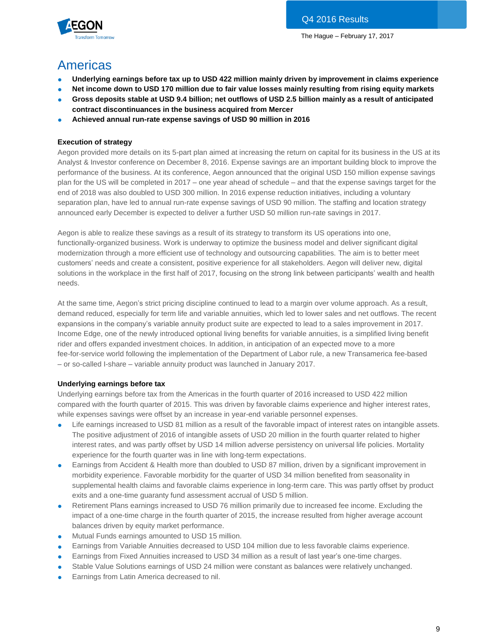

# Americas

- Underlying earnings before tax up to USD 422 million mainly driven by improvement in claims experience
- **Net income down to USD 170 million due to fair value losses mainly resulting from rising equity markets**
- **Gross deposits stable at USD 9.4 billion; net outflows of USD 2.5 billion mainly as a result of anticipated contract discontinuances in the business acquired from Mercer**
- **Achieved annual run-rate expense savings of USD 90 million in 2016**

## **Execution of strategy**

Aegon provided more details on its 5-part plan aimed at increasing the return on capital for its business in the US at its Analyst & Investor conference on December 8, 2016. Expense savings are an important building block to improve the performance of the business. At its conference, Aegon announced that the original USD 150 million expense savings plan for the US will be completed in 2017 – one year ahead of schedule – and that the expense savings target for the end of 2018 was also doubled to USD 300 million. In 2016 expense reduction initiatives, including a voluntary separation plan, have led to annual run-rate expense savings of USD 90 million. The staffing and location strategy announced early December is expected to deliver a further USD 50 million run-rate savings in 2017.

Aegon is able to realize these savings as a result of its strategy to transform its US operations into one, functionally-organized business. Work is underway to optimize the business model and deliver significant digital modernization through a more efficient use of technology and outsourcing capabilities. The aim is to better meet customers' needs and create a consistent, positive experience for all stakeholders. Aegon will deliver new, digital solutions in the workplace in the first half of 2017, focusing on the strong link between participants' wealth and health needs.

At the same time, Aegon's strict pricing discipline continued to lead to a margin over volume approach. As a result, demand reduced, especially for term life and variable annuities, which led to lower sales and net outflows. The recent expansions in the company's variable annuity product suite are expected to lead to a sales improvement in 2017. Income Edge, one of the newly introduced optional living benefits for variable annuities, is a simplified living benefit rider and offers expanded investment choices. In addition, in anticipation of an expected move to a more fee-for-service world following the implementation of the Department of Labor rule, a new Transamerica fee-based – or so-called I-share – variable annuity product was launched in January 2017.

## **Underlying earnings before tax**

Underlying earnings before tax from the Americas in the fourth quarter of 2016 increased to USD 422 million compared with the fourth quarter of 2015. This was driven by favorable claims experience and higher interest rates, while expenses savings were offset by an increase in year-end variable personnel expenses.

- Life earnings increased to USD 81 million as a result of the favorable impact of interest rates on intangible assets. The positive adjustment of 2016 of intangible assets of USD 20 million in the fourth quarter related to higher interest rates, and was partly offset by USD 14 million adverse persistency on universal life policies. Mortality experience for the fourth quarter was in line with long-term expectations.
- Earnings from Accident & Health more than doubled to USD 87 million, driven by a significant improvement in morbidity experience. Favorable morbidity for the quarter of USD 34 million benefited from seasonality in supplemental health claims and favorable claims experience in long-term care. This was partly offset by product exits and a one-time guaranty fund assessment accrual of USD 5 million.
- Retirement Plans earnings increased to USD 76 million primarily due to increased fee income. Excluding the impact of a one-time charge in the fourth quarter of 2015, the increase resulted from higher average account balances driven by equity market performance.
- Mutual Funds earnings amounted to USD 15 million.
- Earnings from Variable Annuities decreased to USD 104 million due to less favorable claims experience.
- Earnings from Fixed Annuities increased to USD 34 million as a result of last year's one-time charges.
- Stable Value Solutions earnings of USD 24 million were constant as balances were relatively unchanged.
- Earnings from Latin America decreased to nil.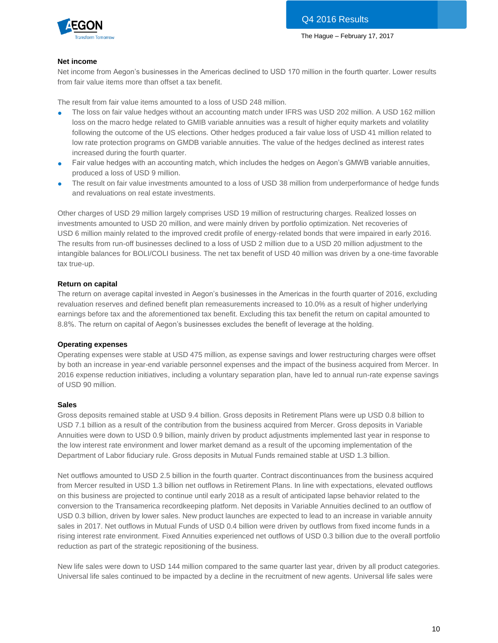

#### **Net income**

Net income from Aegon's businesses in the Americas declined to USD 170 million in the fourth quarter. Lower results from fair value items more than offset a tax benefit.

The result from fair value items amounted to a loss of USD 248 million.

- The loss on fair value hedges without an accounting match under IFRS was USD 202 million. A USD 162 million loss on the macro hedge related to GMIB variable annuities was a result of higher equity markets and volatility following the outcome of the US elections. Other hedges produced a fair value loss of USD 41 million related to low rate protection programs on GMDB variable annuities. The value of the hedges declined as interest rates increased during the fourth quarter.
- Fair value hedges with an accounting match, which includes the hedges on Aegon's GMWB variable annuities, produced a loss of USD 9 million.
- The result on fair value investments amounted to a loss of USD 38 million from underperformance of hedge funds and revaluations on real estate investments.

Other charges of USD 29 million largely comprises USD 19 million of restructuring charges. Realized losses on investments amounted to USD 20 million, and were mainly driven by portfolio optimization. Net recoveries of USD 6 million mainly related to the improved credit profile of energy-related bonds that were impaired in early 2016. The results from run-off businesses declined to a loss of USD 2 million due to a USD 20 million adjustment to the intangible balances for BOLI/COLI business. The net tax benefit of USD 40 million was driven by a one-time favorable tax true-up.

#### **Return on capital**

The return on average capital invested in Aegon's businesses in the Americas in the fourth quarter of 2016, excluding revaluation reserves and defined benefit plan remeasurements increased to 10.0% as a result of higher underlying earnings before tax and the aforementioned tax benefit. Excluding this tax benefit the return on capital amounted to 8.8%. The return on capital of Aegon's businesses excludes the benefit of leverage at the holding.

#### **Operating expenses**

Operating expenses were stable at USD 475 million, as expense savings and lower restructuring charges were offset by both an increase in year-end variable personnel expenses and the impact of the business acquired from Mercer. In 2016 expense reduction initiatives, including a voluntary separation plan, have led to annual run-rate expense savings of USD 90 million.

#### **Sales**

Gross deposits remained stable at USD 9.4 billion. Gross deposits in Retirement Plans were up USD 0.8 billion to USD 7.1 billion as a result of the contribution from the business acquired from Mercer. Gross deposits in Variable Annuities were down to USD 0.9 billion, mainly driven by product adjustments implemented last year in response to the low interest rate environment and lower market demand as a result of the upcoming implementation of the Department of Labor fiduciary rule. Gross deposits in Mutual Funds remained stable at USD 1.3 billion.

Net outflows amounted to USD 2.5 billion in the fourth quarter. Contract discontinuances from the business acquired from Mercer resulted in USD 1.3 billion net outflows in Retirement Plans. In line with expectations, elevated outflows on this business are projected to continue until early 2018 as a result of anticipated lapse behavior related to the conversion to the Transamerica recordkeeping platform. Net deposits in Variable Annuities declined to an outflow of USD 0.3 billion, driven by lower sales. New product launches are expected to lead to an increase in variable annuity sales in 2017. Net outflows in Mutual Funds of USD 0.4 billion were driven by outflows from fixed income funds in a rising interest rate environment. Fixed Annuities experienced net outflows of USD 0.3 billion due to the overall portfolio reduction as part of the strategic repositioning of the business.

New life sales were down to USD 144 million compared to the same quarter last year, driven by all product categories. Universal life sales continued to be impacted by a decline in the recruitment of new agents. Universal life sales were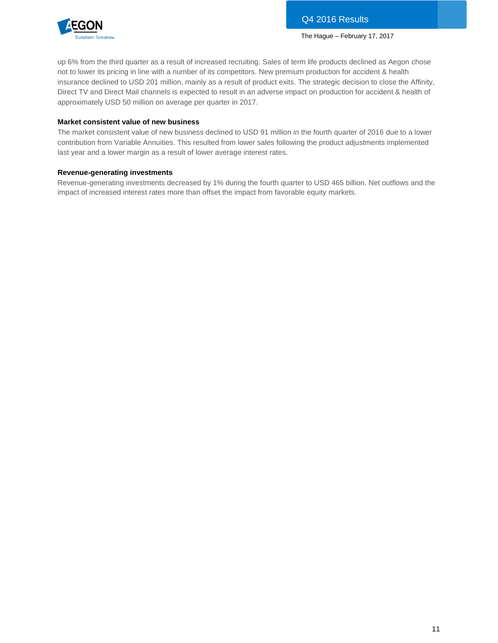

up 6% from the third quarter as a result of increased recruiting. Sales of term life products declined as Aegon chose not to lower its pricing in line with a number of its competitors. New premium production for accident & health insurance declined to USD 201 million, mainly as a result of product exits. The strategic decision to close the Affinity, Direct TV and Direct Mail channels is expected to result in an adverse impact on production for accident & health of approximately USD 50 million on average per quarter in 2017.

#### **Market consistent value of new business**

The market consistent value of new business declined to USD 91 million in the fourth quarter of 2016 due to a lower contribution from Variable Annuities. This resulted from lower sales following the product adjustments implemented last year and a lower margin as a result of lower average interest rates.

#### **Revenue-generating investments**

Revenue-generating investments decreased by 1% during the fourth quarter to USD 465 billion. Net outflows and the impact of increased interest rates more than offset the impact from favorable equity markets.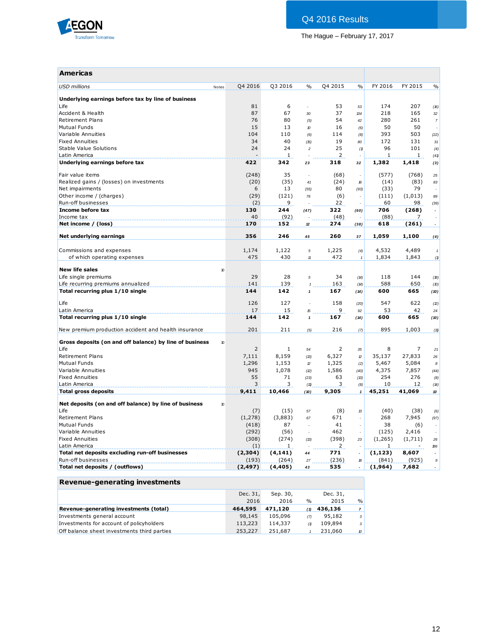

| <b>Americas</b>                                         |                  |             |                            |                |               |             |            |                          |
|---------------------------------------------------------|------------------|-------------|----------------------------|----------------|---------------|-------------|------------|--------------------------|
| <b>USD</b> millions                                     | Q4 2016<br>Notes | Q3 2016     | $\frac{0}{0}$              | Q4 2015        | $\frac{0}{0}$ | FY 2016     | FY 2015    | $\frac{0}{0}$            |
| Underlying earnings before tax by line of business      |                  |             |                            |                |               |             |            |                          |
| Life<br>Accident & Health                               | 81<br>87         | 6<br>67     | $\overline{a}$             | 53<br>37       | 53            | 174<br>218  | 207<br>165 | (16)                     |
| <b>Retirement Plans</b>                                 | 76               | 80          | 30<br>(5)                  | 54             | 134<br>42     | 280         | 261        | 32<br>$\overline{7}$     |
| <b>Mutual Funds</b>                                     | 15               | 13          | 10                         | 16             | (6)           | 50          | 50         |                          |
| Variable Annuities                                      | 104              | 110         | (6)                        | 114            | (8)           | 393         | 503        | (22)                     |
| <b>Fixed Annuities</b>                                  | 34               | 40          | (15)                       | 19             | 80            | 172         | 131        | 31                       |
| Stable Value Solutions                                  | 24               | 24          | $\overline{\mathbf{c}}$    | 25             | (1)           | 96          | 101        | (4)                      |
| Latin America                                           |                  | 1           |                            | $\overline{2}$ |               | 1           | 1          | (41)                     |
| Underlying earnings before tax                          | 422              | 342         | 23                         | 318            | 32            | 1,382       | 1,418      | (3)                      |
|                                                         |                  |             |                            |                |               |             |            |                          |
| Fair value items                                        | (248)            | 35          | ÷,                         | (68)           | ÷.            | (577)       | (768)      | 25                       |
| Realized gains / (losses) on investments                | (20)             | (35)        | 41                         | (24)           | 16            | (14)        | (83)       | 83                       |
| Net impairments                                         | 6                | 13          | (55)                       | 80             | (93)          | (33)        | 79         |                          |
| Other income / (charges)                                | (29)             | (121)       | 76                         | (6)            |               | (111)       | (1,013)    | 89                       |
| Run-off businesses                                      | (2)              | 9           |                            | 22             |               | 60          | 98         | (39)                     |
| Income before tax                                       | 130              | 244         | (47)                       | 322            | (60)          | 706         | (268)      | $\overline{\phantom{a}}$ |
| Income tax<br>Net income / (loss)                       | 40<br>170        | (92)<br>152 |                            | (48)<br>274    |               | (88)<br>618 | 7<br>(261) | $\sim$                   |
|                                                         |                  |             | $12\,$                     |                | (38)          |             |            |                          |
| Net underlying earnings                                 | 356              | 246         | 45                         | 260            | 37            | 1,059       | 1,100      | (4)                      |
|                                                         |                  |             |                            |                |               |             |            |                          |
| Commissions and expenses                                | 1,174            | 1,122       | 5                          | 1,225          | (4)           | 4,532       | 4,489      | $\mathbf{1}$             |
| of which operating expenses                             | 475              | 430         | $\ensuremath{\mathit{11}}$ | 472            | $\mathbf{1}$  | 1,834       | 1,843      | (1)                      |
| <b>New life sales</b>                                   | 10               |             |                            |                |               |             |            |                          |
| Life single premiums                                    | 29               | 28          | 5                          | 34             | (14)          | 118         | 144        | (18)                     |
| Life recurring premiums annualized                      | 141              | 139         | $\overline{1}$             | 163            | (14)          | 588         | 650        | (10)                     |
| Total recurring plus 1/10 single                        | 144              | 142         | $\mathbf{1}$               | 167            | (14)          | 600         | 665        | (10)                     |
| Life                                                    | 126              | 127         |                            | 158            |               | 547         | 622        |                          |
|                                                         | 17               |             |                            | 9              | (20)          |             | 42         | (2)                      |
| Latin America<br>Total recurring plus 1/10 single       | 144              | 15<br>142   | 15<br>$\mathbf{1}$         |                | 92            | 53          | 665        | 24                       |
|                                                         |                  |             |                            | 167            | (14)          | 600         |            | (10)                     |
| New premium production accident and health insurance    | 201              | 211         | (5)                        | 216            | (7)           | 895         | 1,003      | (11)                     |
| Gross deposits (on and off balance) by line of business | 10               |             |                            |                |               |             |            |                          |
| Life                                                    | 2                | 1           | 54                         | 2              | 35            | 8           | 7          | 21                       |
| <b>Retirement Plans</b>                                 | 7,111            | 8,159       | (13)                       | 6,327          | $\mathcal D$  | 35,137      | 27,833     | 26                       |
| <b>Mutual Funds</b>                                     | 1,296            | 1,153       | $\mathcal D$               | 1,325          | (2)           | 5,467       | 5,084      | $\boldsymbol{s}$         |
| Variable Annuities                                      | 945              | 1,078       | (2)                        | 1,586          | (40)          | 4,375       | 7,857      | (44)                     |
| <b>Fixed Annuities</b>                                  | 55               | 71          | (23)                       | 63             | (13)          | 254         | 276        | (8)                      |
| Latin America                                           | 3                | 3           | (11)                       | 3              | (8)           | 10          | 12         | (14)                     |
| <b>Total gross deposits</b>                             | 9,411            | 10,466      | (10)                       | 9,305          | $\mathbf{1}$  | 45,251      | 41,069     | 10                       |
| Net deposits (on and off balance) by line of business   | 10               |             |                            |                |               |             |            |                          |
| Life                                                    | (7)              | (15)        | 57                         | (8)            | 13            | (40)        | (38)       | (6)                      |
| <b>Retirement Plans</b>                                 | (1,278)          | (3,883)     | 67                         | 671            | $\bar{a}$     | 268         | 7,945      | (97)                     |
| <b>Mutual Funds</b>                                     | (418)            | 87          |                            | 41             |               | 38          | (6)        |                          |
| Variable Annuities                                      | (292)            | (56)        | ÷.                         | 462            | ÷.            | (125)       | 2,416      |                          |
| <b>Fixed Annuities</b>                                  | (308)            | (274)       | (13)                       | (398)          | 23            | (1,265)     | (1,711)    | 26                       |
| Latin America                                           | (1)              | 1           |                            | 2              |               | 1           |            | 186                      |
| Total net deposits excluding run-off businesses         | (2,304)          | (4, 141)    | 44                         | 771            |               | (1, 123)    | 8,607      |                          |
| Run-off businesses                                      | (193)            | (264)       | 27                         | (236)          | 18            | (841)       | (925)      | $\mathcal{G}$            |
| Total net deposits / (outflows)                         | (2,497)          | (4, 405)    | 43                         | 535            |               | (1,964)     | 7,682      |                          |
|                                                         |                  |             |                            |                |               |             |            |                          |

### **Revenue-generating investments**

|                                             | Dec. 31, | Sep. 30, |               | Dec. 31, |              |
|---------------------------------------------|----------|----------|---------------|----------|--------------|
|                                             | 2016     | 2016     | $\frac{0}{0}$ | 2015     | $\%$         |
| Revenue-generating investments (total)      | 464,595  | 471.120  | (1)           | 436,136  |              |
| Investments general account                 | 98,145   | 105,096  | (7)           | 95,182   | $\mathbf{3}$ |
| Investments for account of policyholders    | 113,223  | 114,337  | (1)           | 109,894  | $\mathbf{3}$ |
| Off balance sheet investments third parties | 253,227  | 251,687  |               | 231,060  | 10           |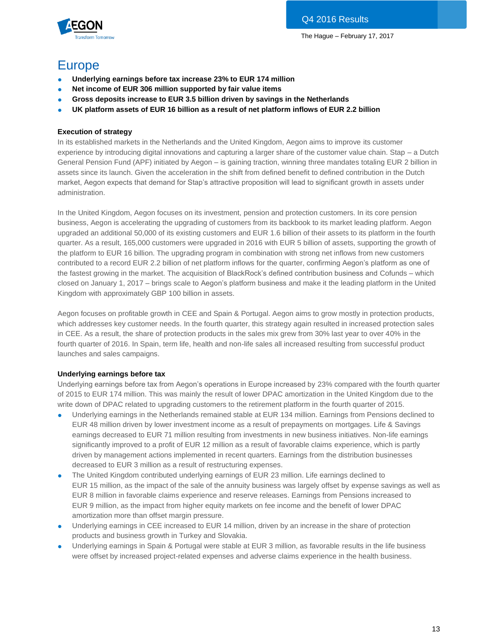

## Europe

- **Underlying earnings before tax increase 23% to EUR 174 million**
- Net income of EUR 306 million supported by fair value items
- **Gross deposits increase to EUR 3.5 billion driven by savings in the Netherlands**
- **UK platform assets of EUR 16 billion as a result of net platform inflows of EUR 2.2 billion**

### **Execution of strategy**

In its established markets in the Netherlands and the United Kingdom, Aegon aims to improve its customer experience by introducing digital innovations and capturing a larger share of the customer value chain. Stap – a Dutch General Pension Fund (APF) initiated by Aegon – is gaining traction, winning three mandates totaling EUR 2 billion in assets since its launch. Given the acceleration in the shift from defined benefit to defined contribution in the Dutch market, Aegon expects that demand for Stap's attractive proposition will lead to significant growth in assets under administration.

In the United Kingdom, Aegon focuses on its investment, pension and protection customers. In its core pension business, Aegon is accelerating the upgrading of customers from its backbook to its market leading platform. Aegon upgraded an additional 50,000 of its existing customers and EUR 1.6 billion of their assets to its platform in the fourth quarter. As a result, 165,000 customers were upgraded in 2016 with EUR 5 billion of assets, supporting the growth of the platform to EUR 16 billion. The upgrading program in combination with strong net inflows from new customers contributed to a record EUR 2.2 billion of net platform inflows for the quarter, confirming Aegon's platform as one of the fastest growing in the market. The acquisition of BlackRock's defined contribution business and Cofunds – which closed on January 1, 2017 – brings scale to Aegon's platform business and make it the leading platform in the United Kingdom with approximately GBP 100 billion in assets.

Aegon focuses on profitable growth in CEE and Spain & Portugal. Aegon aims to grow mostly in protection products, which addresses key customer needs. In the fourth quarter, this strategy again resulted in increased protection sales in CEE. As a result, the share of protection products in the sales mix grew from 30% last year to over 40% in the fourth quarter of 2016. In Spain, term life, health and non-life sales all increased resulting from successful product launches and sales campaigns.

#### **Underlying earnings before tax**

Underlying earnings before tax from Aegon's operations in Europe increased by 23% compared with the fourth quarter of 2015 to EUR 174 million. This was mainly the result of lower DPAC amortization in the United Kingdom due to the write down of DPAC related to upgrading customers to the retirement platform in the fourth quarter of 2015.

- Underlying earnings in the Netherlands remained stable at EUR 134 million. Earnings from Pensions declined to EUR 48 million driven by lower investment income as a result of prepayments on mortgages. Life & Savings earnings decreased to EUR 71 million resulting from investments in new business initiatives. Non-life earnings significantly improved to a profit of EUR 12 million as a result of favorable claims experience, which is partly driven by management actions implemented in recent quarters. Earnings from the distribution businesses decreased to EUR 3 million as a result of restructuring expenses.
- The United Kingdom contributed underlying earnings of EUR 23 million. Life earnings declined to EUR 15 million, as the impact of the sale of the annuity business was largely offset by expense savings as well as EUR 8 million in favorable claims experience and reserve releases. Earnings from Pensions increased to EUR 9 million, as the impact from higher equity markets on fee income and the benefit of lower DPAC amortization more than offset margin pressure.
- Underlying earnings in CEE increased to EUR 14 million, driven by an increase in the share of protection products and business growth in Turkey and Slovakia.
- Underlying earnings in Spain & Portugal were stable at EUR 3 million, as favorable results in the life business were offset by increased project-related expenses and adverse claims experience in the health business.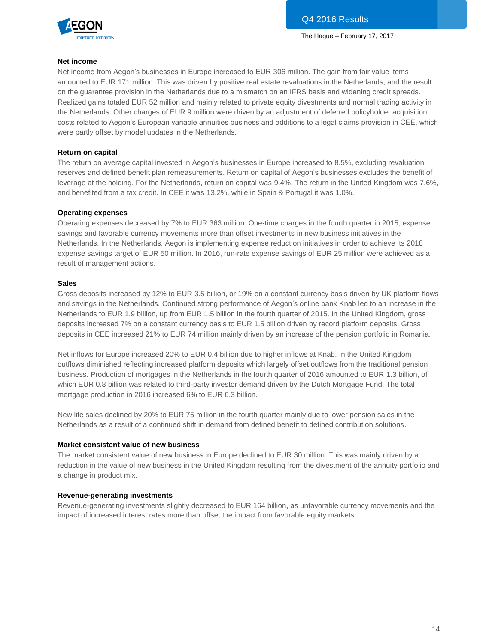

#### **Net income**

Net income from Aegon's businesses in Europe increased to EUR 306 million. The gain from fair value items amounted to EUR 171 million. This was driven by positive real estate revaluations in the Netherlands, and the result on the guarantee provision in the Netherlands due to a mismatch on an IFRS basis and widening credit spreads. Realized gains totaled EUR 52 million and mainly related to private equity divestments and normal trading activity in the Netherlands. Other charges of EUR 9 million were driven by an adjustment of deferred policyholder acquisition costs related to Aegon's European variable annuities business and additions to a legal claims provision in CEE, which were partly offset by model updates in the Netherlands.

#### **Return on capital**

The return on average capital invested in Aegon's businesses in Europe increased to 8.5%, excluding revaluation reserves and defined benefit plan remeasurements. Return on capital of Aegon's businesses excludes the benefit of leverage at the holding. For the Netherlands, return on capital was 9.4%. The return in the United Kingdom was 7.6%, and benefited from a tax credit. In CEE it was 13.2%, while in Spain & Portugal it was 1.0%.

#### **Operating expenses**

Operating expenses decreased by 7% to EUR 363 million. One-time charges in the fourth quarter in 2015, expense savings and favorable currency movements more than offset investments in new business initiatives in the Netherlands. In the Netherlands, Aegon is implementing expense reduction initiatives in order to achieve its 2018 expense savings target of EUR 50 million. In 2016, run-rate expense savings of EUR 25 million were achieved as a result of management actions.

#### **Sales**

Gross deposits increased by 12% to EUR 3.5 billion, or 19% on a constant currency basis driven by UK platform flows and savings in the Netherlands. Continued strong performance of Aegon's online bank Knab led to an increase in the Netherlands to EUR 1.9 billion, up from EUR 1.5 billion in the fourth quarter of 2015. In the United Kingdom, gross deposits increased 7% on a constant currency basis to EUR 1.5 billion driven by record platform deposits. Gross deposits in CEE increased 21% to EUR 74 million mainly driven by an increase of the pension portfolio in Romania.

Net inflows for Europe increased 20% to EUR 0.4 billion due to higher inflows at Knab. In the United Kingdom outflows diminished reflecting increased platform deposits which largely offset outflows from the traditional pension business. Production of mortgages in the Netherlands in the fourth quarter of 2016 amounted to EUR 1.3 billion, of which EUR 0.8 billion was related to third-party investor demand driven by the Dutch Mortgage Fund. The total mortgage production in 2016 increased 6% to EUR 6.3 billion.

New life sales declined by 20% to EUR 75 million in the fourth quarter mainly due to lower pension sales in the Netherlands as a result of a continued shift in demand from defined benefit to defined contribution solutions.

#### **Market consistent value of new business**

The market consistent value of new business in Europe declined to EUR 30 million. This was mainly driven by a reduction in the value of new business in the United Kingdom resulting from the divestment of the annuity portfolio and a change in product mix.

#### **Revenue-generating investments**

Revenue-generating investments slightly decreased to EUR 164 billion, as unfavorable currency movements and the impact of increased interest rates more than offset the impact from favorable equity markets.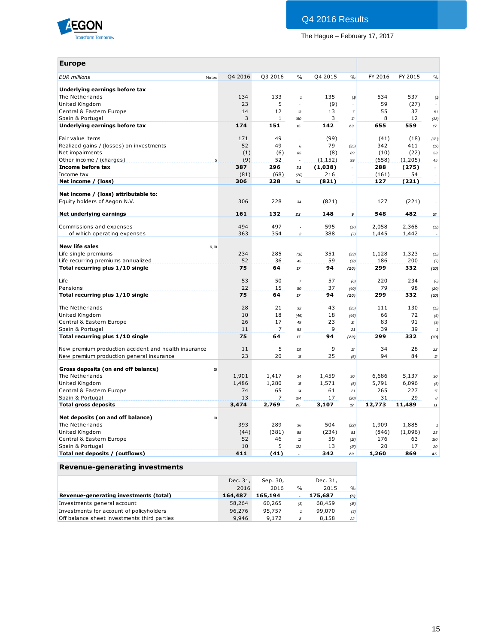

| <b>Europe</b>                                                        |         |                |                     |          |                            |         |         |                |
|----------------------------------------------------------------------|---------|----------------|---------------------|----------|----------------------------|---------|---------|----------------|
| <b>EUR</b> millions<br>Notes                                         | Q4 2016 | Q3 2016        | $\%$                | Q4 2015  | $\frac{0}{0}$              | FY 2016 | FY 2015 | $\frac{0}{0}$  |
| Underlying earnings before tax                                       |         |                |                     |          |                            |         |         |                |
| The Netherlands                                                      | 134     | 133            | $\pmb{\mathcal{I}}$ | 135      | (1)                        | 534     | 537     | (1)            |
| United Kingdom                                                       | 23      | 5              | L.                  | (9)      |                            | 59      | (27)    |                |
| Central & Eastern Europe                                             | 14      | 12             | 13                  | 13       | $\overline{7}$             | 55      | 37      | 51             |
| Spain & Portugal                                                     | 3       | $\mathbf{1}$   | 160                 | 3        | $\mathbf{2}$               | 8       | 12      | (38)           |
| Underlying earnings before tax                                       | 174     | 151            | 15                  | 142      | 23                         | 655     | 559     | $17$           |
| Fair value items                                                     | 171     | 49             | ÷,                  | (99)     | ÷,                         | (41)    | (18)    | (21)           |
| Realized gains / (losses) on investments                             | 52      | 49             | 6                   | 79       | (35)                       | 342     | 411     | (17)           |
| Net impairments                                                      | (1)     | (6)            | 85                  | (8)      | 89                         | (10)    | (22)    | 53             |
| Other income / (charges)                                             | (9)     | 52             |                     | (1, 152) | 99                         | (658)   | (1,205) | 45             |
| Income before tax                                                    | 387     | 296            | 31                  | (1,038)  |                            | 288     | (275)   |                |
| Income tax                                                           | (81)    | (68)           | (20)                | 216      |                            | (161)   | 54      |                |
| Net income / (loss)                                                  | 306     | 228            | 34                  | (821)    | $\overline{\phantom{a}}$   | 127     | (221)   | $\blacksquare$ |
|                                                                      |         |                |                     |          |                            |         |         |                |
| Net income / (loss) attributable to:<br>Equity holders of Aegon N.V. | 306     | 228            | 34                  | (821)    |                            | 127     | (221)   |                |
| Net underlying earnings                                              | 161     | 132            | 22                  | 148      | 9                          | 548     | 482     | 14             |
| Commissions and expenses                                             | 494     | 497            | $\epsilon$          | 595      | (17)                       | 2,058   | 2,368   | (13)           |
| of which operating expenses                                          | 363     | 354            | $\overline{c}$      | 388      | (7)                        | 1,445   | 1,442   |                |
|                                                                      |         |                |                     |          |                            |         |         |                |
| <b>New life sales</b><br>6, 10                                       |         |                |                     |          |                            |         |         |                |
| Life single premiums                                                 | 234     | 285            | (18)                | 351      | (33)                       | 1,128   | 1,323   | (15)           |
| Life recurring premiums annualized                                   | 52      | 36             | 45                  | 59       | (2)                        | 186     | 200     | (7)            |
| Total recurring plus 1/10 single                                     | 75      | 64             | $17\,$              | 94       | (20)                       | 299     | 332     | (10)           |
| Life                                                                 | 53      | 50             | $\overline{7}$      | 57       | (6)                        | 220     | 234     | (6)            |
| Pensions                                                             | 22      | 15             | 50                  | 37       | (40)                       | 79      | 98      | (20)           |
| Total recurring plus 1/10 single                                     | 75      | 64             | $17$                | 94       | (20)                       | 299     | 332     | (10)           |
| The Netherlands                                                      | 28      | 21             | 32                  | 43       | (35)                       | 111     | 130     | (15)           |
| United Kingdom                                                       | 10      | 18             | (46)                | 18       | (46)                       | 66      | 72      | (8)            |
| Central & Eastern Europe                                             | 26      | 17             | 49                  | 23       | $\boldsymbol{\mathcal{H}}$ | 83      | 91      | (9)            |
| Spain & Portugal                                                     | 11      | $\overline{7}$ | 53                  | 9        | 21                         | 39      | 39      |                |
| Total recurring plus 1/10 single                                     | 75      | 64             | 17                  | 94       | (20)                       | 299     | 332     | (10)           |
| New premium production accident and health insurance                 | 11      | 5              | 114                 | 9        | 13                         | 34      | 28      |                |
| New premium production general insurance                             | 23      | 20             | 15                  | 25       |                            | 94      | 84      | 22             |
|                                                                      |         |                |                     |          | (6)                        |         |         | $\mathbf{z}$   |
| Gross deposits (on and off balance)<br>10                            |         |                |                     |          |                            |         |         |                |
| The Netherlands                                                      | 1,901   | 1,417          | 34                  | 1,459    | 30                         | 6,686   | 5,137   | 30             |
| United Kingdom                                                       | 1,486   | 1,280          | 16                  | 1,571    | (5)                        | 5,791   | 6,096   | (5)            |
| Central & Eastern Europe                                             | 74      | 65             | $14$                | 61       | 21                         | 265     | 227     | $\pi$          |
| Spain & Portugal                                                     | 13      | $\overline{7}$ | 104                 | 17       | (20)                       | 31      | 29      | 8              |
| <b>Total gross deposits</b>                                          | 3,474   | 2,769          | 25                  | 3,107    | 12                         | 12,773  | 11,489  | 11             |
| Net deposits (on and off balance)<br>10                              |         |                |                     |          |                            |         |         |                |
| The Netherlands                                                      | 393     | 289            | 36                  | 504      | (22)                       | 1,909   | 1,885   | $\it 1$        |
| United Kingdom                                                       | (44)    | (381)          | 88                  | (234)    | 81                         | (846)   | (1,096) | 23             |
| Central & Eastern Europe                                             | 52      | 46             | $\mathcal{D}$       | 59       | (2)                        | 176     | 63      | 180            |
| Spain & Portugal                                                     | 10      | 5              | D)                  | 13       | (17)                       | 20      | 17      | 20             |
| Total net deposits / (outflows)                                      | 411     | (41)           |                     | 342      | 20                         | 1,260   | 869     | 45             |
| <b>Revenue-generating investments</b>                                |         |                |                     |          |                            |         |         |                |

|                                             | Dec. 31, | Sep. 30, |               | Dec. 31, |               |
|---------------------------------------------|----------|----------|---------------|----------|---------------|
|                                             | 2016     | 2016     | $\frac{0}{0}$ | 2015     | $\frac{9}{0}$ |
| Revenue-generating investments (total)      | 164,487  | 165,194  |               | 175,687  | (6)           |
| Investments general account                 | 58,264   | 60,265   | (3)           | 68,459   | (15)          |
| Investments for account of policyholders    | 96,276   | 95,757   |               | 99,070   | (3)           |
| Off balance sheet investments third parties | 9,946    | 9,172    | 8             | 8,158    | 22            |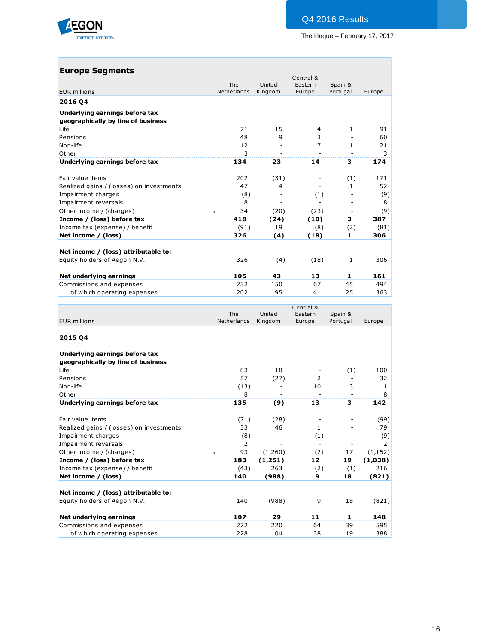

## **Europe Segments**

| <b>EUR millions</b><br>2016 04           | The<br>Netherlands | United<br>Kingdom | Eastern<br>Europe | Spain &<br>Portugal | Europe |
|------------------------------------------|--------------------|-------------------|-------------------|---------------------|--------|
|                                          |                    |                   |                   |                     |        |
|                                          |                    |                   |                   |                     |        |
| Underlying earnings before tax           |                    |                   |                   |                     |        |
| geographically by line of business       |                    |                   |                   |                     |        |
| Life                                     | 71                 | 15                | 4                 | $\mathbf{1}$        | 91     |
| Pensions                                 | 48                 | 9                 | 3                 |                     | 60     |
| Non-life                                 | 12                 |                   | 7                 | $\mathbf{1}$        | 21     |
| Other                                    | 3                  |                   |                   |                     | 3      |
| Underlying earnings before tax           | 134                | 23                | 14                | 3                   | 174    |
| Fair value items                         | 202                | (31)              |                   | (1)                 | 171    |
| Realized gains / (losses) on investments | 47                 | 4                 |                   | $\mathbf{1}$        | 52     |
| Impairment charges                       | (8)                |                   | (1)               |                     | (9)    |
| Impairment reversals                     | 8                  |                   |                   |                     | 8      |
| Other income / (charges)<br>5            | 34                 | (20)              | (23)              |                     | (9)    |
| Income / (loss) before tax               | 418                | (24)              | (10)              | 3                   | 387    |
| Income tax (expense) / benefit           | (91)               | 19                | (8)               | (2)                 | (81)   |
| Net income / (loss)                      | 326                | (4)               | (18)              | 1                   | 306    |
| Net income / (loss) attributable to:     |                    |                   |                   |                     |        |
| Equity holders of Aegon N.V.             | 326                | (4)               | (18)              | 1                   | 306    |
| Net underlying earnings                  | 105                | 43                | 13                | 1                   | 161    |
| Commissions and expenses                 | 232                | 150               | 67                | 45                  | 494    |
| of which operating expenses              | 202                | 95                | 41                | 25                  | 363    |

| <b>The</b><br>Netherlands<br><b>EUR millions</b><br>2015 04<br>Underlying earnings before tax<br>geographically by line of business<br>Life<br>Pensions<br>Non-life | 83             | United<br>Kingdom | Eastern<br>Europe | Spain &<br>Portugal      | Europe       |
|---------------------------------------------------------------------------------------------------------------------------------------------------------------------|----------------|-------------------|-------------------|--------------------------|--------------|
|                                                                                                                                                                     |                |                   |                   |                          |              |
|                                                                                                                                                                     |                |                   |                   |                          |              |
|                                                                                                                                                                     |                |                   |                   |                          |              |
|                                                                                                                                                                     |                |                   |                   |                          |              |
|                                                                                                                                                                     |                |                   |                   |                          |              |
|                                                                                                                                                                     |                | 18                |                   | (1)                      | 100          |
|                                                                                                                                                                     | 57             | (27)              | 2                 |                          | 32           |
|                                                                                                                                                                     | (13)           |                   | 10                | 3                        | $\mathbf{1}$ |
| Other                                                                                                                                                               | 8              | ۰                 |                   | $\overline{\phantom{a}}$ | 8            |
| Underlying earnings before tax                                                                                                                                      | 135            | (9)               | 13                | 3                        | 142          |
| Fair value items                                                                                                                                                    | (71)           | (28)              |                   |                          | (99)         |
| Realized gains / (losses) on investments                                                                                                                            | 33             | 46                | $\mathbf{1}$      |                          | 79           |
| Impairment charges                                                                                                                                                  | (8)            |                   | (1)               |                          | (9)          |
| Impairment reversals                                                                                                                                                | $\overline{2}$ |                   |                   |                          | 2            |
| Other income / (charges)<br>5                                                                                                                                       | 93             | (1,260)           | (2)               | 17                       | (1, 152)     |
| Income / (loss) before tax                                                                                                                                          | 183            | (1,251)           | 12                | 19                       | (1,038)      |
| Income tax (expense) / benefit                                                                                                                                      | (43)           | 263               | (2)               | (1)                      | 216          |
| Net income / (loss)                                                                                                                                                 | 140            | (988)             | 9                 | 18                       | (821)        |
| Net income / (loss) attributable to:                                                                                                                                |                |                   |                   |                          |              |
| Equity holders of Aegon N.V.                                                                                                                                        | 140            | (988)             | 9                 | 18                       | (821)        |
| Net underlying earnings                                                                                                                                             | 107            | 29                | 11                | 1                        | 148          |
| Commissions and expenses                                                                                                                                            | 272            | 220               | 64                | 39                       | 595          |
| of which operating expenses                                                                                                                                         | 228            | 104               | 38                | 19                       | 388          |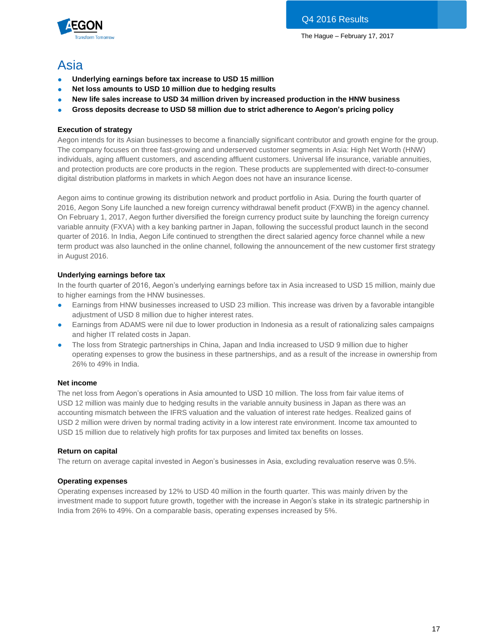

## Asia

- **Underlying earnings before tax increase to USD 15 million**
- **Net loss amounts to USD 10 million due to hedging results**
- **New life sales increase to USD 34 million driven by increased production in the HNW business**
- **Gross deposits decrease to USD 58 million due to strict adherence to Aegon's pricing policy**

## **Execution of strategy**

Aegon intends for its Asian businesses to become a financially significant contributor and growth engine for the group. The company focuses on three fast-growing and underserved customer segments in Asia: High Net Worth (HNW) individuals, aging affluent customers, and ascending affluent customers. Universal life insurance, variable annuities, and protection products are core products in the region. These products are supplemented with direct-to-consumer digital distribution platforms in markets in which Aegon does not have an insurance license.

Aegon aims to continue growing its distribution network and product portfolio in Asia. During the fourth quarter of 2016, Aegon Sony Life launched a new foreign currency withdrawal benefit product (FXWB) in the agency channel. On February 1, 2017, Aegon further diversified the foreign currency product suite by launching the foreign currency variable annuity (FXVA) with a key banking partner in Japan, following the successful product launch in the second quarter of 2016. In India, Aegon Life continued to strengthen the direct salaried agency force channel while a new term product was also launched in the online channel, following the announcement of the new customer first strategy in August 2016.

## **Underlying earnings before tax**

In the fourth quarter of 2016, Aegon's underlying earnings before tax in Asia increased to USD 15 million, mainly due to higher earnings from the HNW businesses.

- Earnings from HNW businesses increased to USD 23 million. This increase was driven by a favorable intangible adjustment of USD 8 million due to higher interest rates.
- Earnings from ADAMS were nil due to lower production in Indonesia as a result of rationalizing sales campaigns and higher IT related costs in Japan.
- The loss from Strategic partnerships in China, Japan and India increased to USD 9 million due to higher operating expenses to grow the business in these partnerships, and as a result of the increase in ownership from 26% to 49% in India.

## **Net income**

The net loss from Aegon's operations in Asia amounted to USD 10 million. The loss from fair value items of USD 12 million was mainly due to hedging results in the variable annuity business in Japan as there was an accounting mismatch between the IFRS valuation and the valuation of interest rate hedges. Realized gains of USD 2 million were driven by normal trading activity in a low interest rate environment. Income tax amounted to USD 15 million due to relatively high profits for tax purposes and limited tax benefits on losses.

## **Return on capital**

The return on average capital invested in Aegon's businesses in Asia, excluding revaluation reserve was 0.5%.

## **Operating expenses**

Operating expenses increased by 12% to USD 40 million in the fourth quarter. This was mainly driven by the investment made to support future growth, together with the increase in Aegon's stake in its strategic partnership in India from 26% to 49%. On a comparable basis, operating expenses increased by 5%.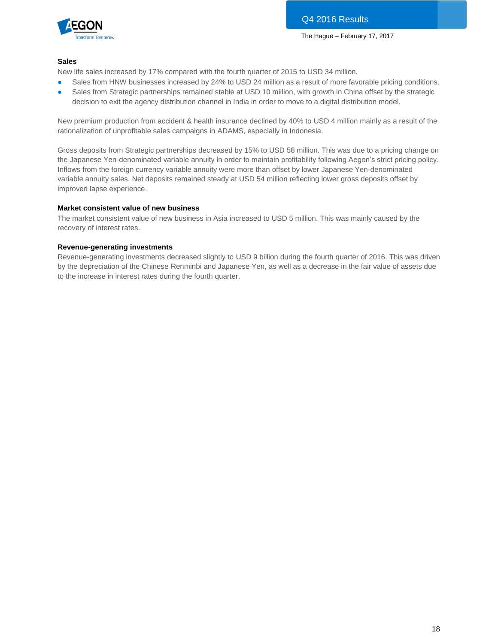

### **Sales**

New life sales increased by 17% compared with the fourth quarter of 2015 to USD 34 million.

- Sales from HNW businesses increased by 24% to USD 24 million as a result of more favorable pricing conditions.
- Sales from Strategic partnerships remained stable at USD 10 million, with growth in China offset by the strategic decision to exit the agency distribution channel in India in order to move to a digital distribution model.

New premium production from accident & health insurance declined by 40% to USD 4 million mainly as a result of the rationalization of unprofitable sales campaigns in ADAMS, especially in Indonesia.

Gross deposits from Strategic partnerships decreased by 15% to USD 58 million. This was due to a pricing change on the Japanese Yen-denominated variable annuity in order to maintain profitability following Aegon's strict pricing policy. Inflows from the foreign currency variable annuity were more than offset by lower Japanese Yen-denominated variable annuity sales. Net deposits remained steady at USD 54 million reflecting lower gross deposits offset by improved lapse experience.

### **Market consistent value of new business**

The market consistent value of new business in Asia increased to USD 5 million. This was mainly caused by the recovery of interest rates.

### **Revenue-generating investments**

Revenue-generating investments decreased slightly to USD 9 billion during the fourth quarter of 2016. This was driven by the depreciation of the Chinese Renminbi and Japanese Yen, as well as a decrease in the fair value of assets due to the increase in interest rates during the fourth quarter.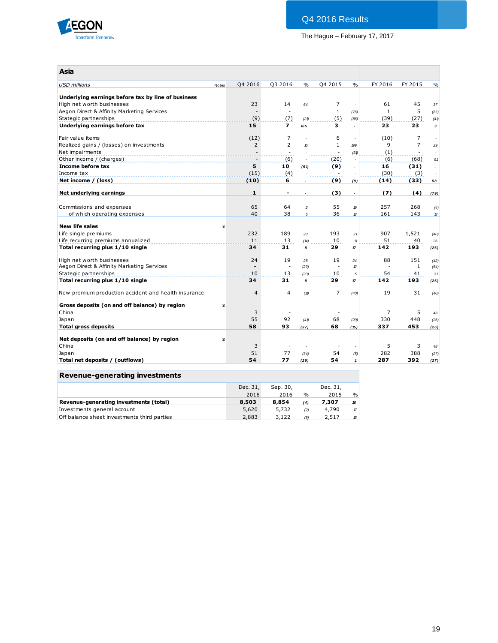

| Asia                                                 |       |                |                          |                          |                          |                          |         |                          |                       |
|------------------------------------------------------|-------|----------------|--------------------------|--------------------------|--------------------------|--------------------------|---------|--------------------------|-----------------------|
| <b>USD millions</b>                                  | Notes | Q4 2016        | Q3 2016                  | $\frac{0}{0}$            | Q4 2015                  | $\frac{0}{0}$            | FY 2016 | FY 2015                  | $\frac{0}{0}$         |
| Underlying earnings before tax by line of business   |       |                |                          |                          |                          |                          |         |                          |                       |
| High net worth businesses                            |       | 23             | 14                       | 64                       | 7                        |                          | 61      | 45                       | 37                    |
| Aegon Direct & Affinity Marketing Services           |       |                | ÷.                       | $\overline{a}$           | $\mathbf{1}$             | (76)                     | 1       | 5                        | (87)                  |
| Stategic partnerships                                |       | (9)            | (7)                      | (21)                     | (5)                      | (86)                     | (39)    | (27)                     | (41)                  |
| Underlying earnings before tax                       |       | 15             | $\overline{ }$           | 105                      | з                        | $\overline{a}$           | 23      | 23                       | $\mathbf{3}$          |
| Fair value items                                     |       | (12)           | 7                        | ÷.                       | 6                        | ÷.                       | (10)    | $\overline{7}$           |                       |
| Realized gains / (losses) on investments             |       | $\overline{2}$ | $\overline{2}$           | 16                       | $\mathbf{1}$             | 199                      | 9       | $\overline{7}$           | 29                    |
| Net impairments                                      |       |                | $\overline{\phantom{a}}$ |                          | $\overline{\phantom{a}}$ | (31)                     | (1)     | $\overline{\phantom{a}}$ |                       |
| Other income / (charges)                             |       | ЦĖ,            | (6)                      |                          | (20)                     |                          | (6)     | (68)                     | 91                    |
| Income before tax                                    |       | 5              | 10                       | (51)                     | (9)                      | $\overline{a}$           | 16      | (31)                     | $\tilde{\phantom{a}}$ |
| Income tax                                           |       | (15)           | (4)                      |                          |                          |                          | (30)    | (3)                      |                       |
| Net income / (loss)                                  |       | (10)           | 6                        |                          | (9)                      | (9)                      | (14)    | (33)                     | 58                    |
| Net underlying earnings                              |       | 1              | $\blacksquare$           | $\overline{\phantom{a}}$ | (3)                      | $\overline{\phantom{a}}$ | (7)     | (4)                      | (79)                  |
|                                                      |       |                |                          |                          |                          |                          |         |                          |                       |
| Commissions and expenses                             |       | 65             | 64                       | $\overline{a}$           | 55                       | $\boldsymbol{p}$         | 257     | 268                      | (4)                   |
| of which operating expenses                          |       | 40             | 38                       | $\sqrt{5}$               | 36                       | $\mathcal{D}$            | 161     | 143                      | 13                    |
| <b>New life sales</b>                                | 10    |                |                          |                          |                          |                          |         |                          |                       |
| Life single premiums                                 |       | 232            | 189                      | 23                       | 193                      | 21                       | 907     | 1,521                    | (40)                  |
| Life recurring premiums annualized                   |       | 11             | 13                       | (14)                     | 10                       | 11                       | 51      | 40                       | 26                    |
| Total recurring plus 1/10 single                     |       | 34             | 31                       | 8                        | 29                       | 17                       | 142     | 193                      | (26)                  |
| High net worth businesses                            |       | 24             | 19                       | 28                       | 19                       | 24                       | 88      | 151                      | (42)                  |
| Aegon Direct & Affinity Marketing Services           |       |                | $\overline{\phantom{a}}$ | (23)                     |                          | D                        |         | $\mathbf{1}$             | (64)                  |
| Stategic partnerships                                |       | 10             | 13                       | (20)                     | 10                       | 5                        | 54      | 41                       | 31                    |
| Total recurring plus 1/10 single                     |       | 34             | 31                       | 8                        | 29                       | 17                       | 142     | 193                      | (26)                  |
| New premium production accident and health insurance |       | $\overline{4}$ | 4                        | (11)                     | 7                        | (40)                     | 19      | 31                       | (40)                  |
| Gross deposits (on and off balance) by region        | 10    |                |                          |                          |                          |                          |         |                          |                       |
| China                                                |       | 3              |                          |                          |                          |                          | 7       | 5                        | 43                    |
| Japan                                                |       | 55             | 92                       | (41)                     | 68                       | (20)                     | 330     | 448                      | (26)                  |
| <b>Total gross deposits</b>                          |       | 58             | 93                       | (37)                     | 68                       | (15)                     | 337     | 453                      | (26)                  |
|                                                      |       |                |                          |                          |                          |                          |         |                          |                       |
| Net deposits (on and off balance) by region          | 10    |                |                          |                          |                          |                          |         |                          |                       |
| China                                                |       | 3              |                          |                          |                          |                          | 5       | 3                        | 48                    |
| Japan                                                |       | 51             | 77                       | (34)                     | 54                       | (5)                      | 282     | 388                      | (27)                  |
| Total net deposits / (outflows)                      |       | 54             | 77                       | (29)                     | 54                       | $\mathbf{1}$             | 287     | 392                      | (27)                  |

## **Revenue-generating investments**

|                                             | Dec. 31, | Sep. 30, |               | Dec. 31, |               |
|---------------------------------------------|----------|----------|---------------|----------|---------------|
|                                             | 2016     | 2016     | $\frac{0}{0}$ | 2015     | $\frac{0}{0}$ |
|                                             |          |          |               |          |               |
| Revenue-generating investments (total)      | 8,503    | 8.854    | (4)           | 7.307    | 16            |
| Investments general account                 | 5,620    | 5,732    | (2)           | 4,790    | $\pi$         |
| Off balance sheet investments third parties | 2,883    | 3.122    | (8)           | 2,517    | 15            |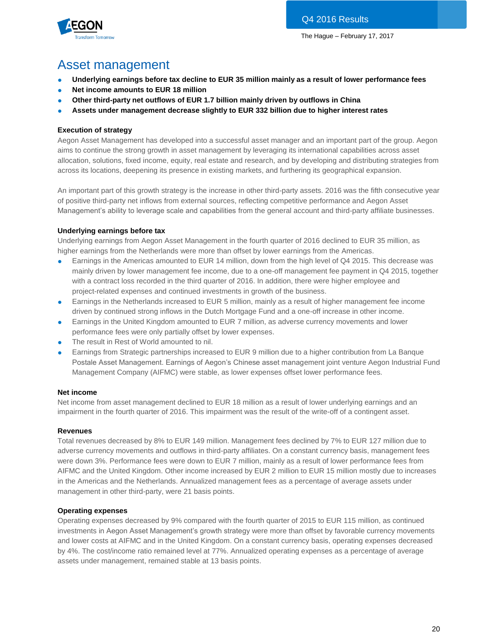

# Asset management

- **Underlying earnings before tax decline to EUR 35 million mainly as a result of lower performance fees**
- **Net income amounts to EUR 18 million**
- **Other third-party net outflows of EUR 1.7 billion mainly driven by outflows in China**
- **Assets under management decrease slightly to EUR 332 billion due to higher interest rates**

## **Execution of strategy**

Aegon Asset Management has developed into a successful asset manager and an important part of the group. Aegon aims to continue the strong growth in asset management by leveraging its international capabilities across asset allocation, solutions, fixed income, equity, real estate and research, and by developing and distributing strategies from across its locations, deepening its presence in existing markets, and furthering its geographical expansion.

An important part of this growth strategy is the increase in other third-party assets. 2016 was the fifth consecutive year of positive third-party net inflows from external sources, reflecting competitive performance and Aegon Asset Management's ability to leverage scale and capabilities from the general account and third-party affiliate businesses.

## **Underlying earnings before tax**

Underlying earnings from Aegon Asset Management in the fourth quarter of 2016 declined to EUR 35 million, as higher earnings from the Netherlands were more than offset by lower earnings from the Americas.

- Earnings in the Americas amounted to EUR 14 million, down from the high level of Q4 2015. This decrease was mainly driven by lower management fee income, due to a one-off management fee payment in Q4 2015, together with a contract loss recorded in the third quarter of 2016. In addition, there were higher employee and project-related expenses and continued investments in growth of the business.
- Earnings in the Netherlands increased to EUR 5 million, mainly as a result of higher management fee income driven by continued strong inflows in the Dutch Mortgage Fund and a one-off increase in other income.
- Earnings in the United Kingdom amounted to EUR 7 million, as adverse currency movements and lower performance fees were only partially offset by lower expenses.
- The result in Rest of World amounted to nil.
- Earnings from Strategic partnerships increased to EUR 9 million due to a higher contribution from La Banque Postale Asset Management. Earnings of Aegon's Chinese asset management joint venture Aegon Industrial Fund Management Company (AIFMC) were stable, as lower expenses offset lower performance fees.

## **Net income**

Net income from asset management declined to EUR 18 million as a result of lower underlying earnings and an impairment in the fourth quarter of 2016. This impairment was the result of the write-off of a contingent asset.

## **Revenues**

Total revenues decreased by 8% to EUR 149 million. Management fees declined by 7% to EUR 127 million due to adverse currency movements and outflows in third-party affiliates. On a constant currency basis, management fees were down 3%. Performance fees were down to EUR 7 million, mainly as a result of lower performance fees from AIFMC and the United Kingdom. Other income increased by EUR 2 million to EUR 15 million mostly due to increases in the Americas and the Netherlands. Annualized management fees as a percentage of average assets under management in other third-party, were 21 basis points.

## **Operating expenses**

Operating expenses decreased by 9% compared with the fourth quarter of 2015 to EUR 115 million, as continued investments in Aegon Asset Management's growth strategy were more than offset by favorable currency movements and lower costs at AIFMC and in the United Kingdom. On a constant currency basis, operating expenses decreased by 4%. The cost/income ratio remained level at 77%. Annualized operating expenses as a percentage of average assets under management, remained stable at 13 basis points.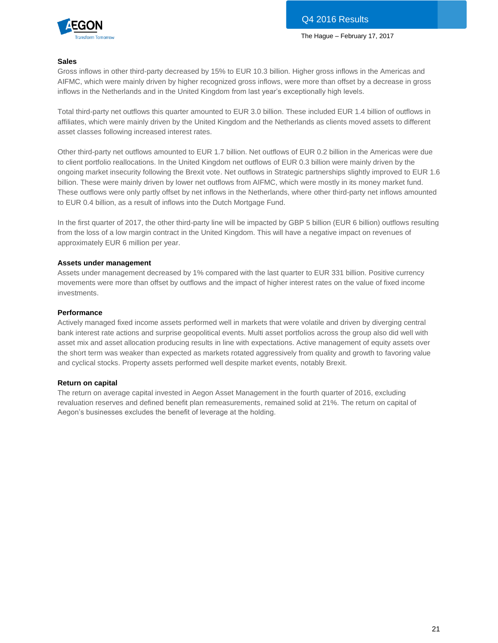

#### **Sales**

Gross inflows in other third-party decreased by 15% to EUR 10.3 billion. Higher gross inflows in the Americas and AIFMC, which were mainly driven by higher recognized gross inflows, were more than offset by a decrease in gross inflows in the Netherlands and in the United Kingdom from last year's exceptionally high levels.

Total third-party net outflows this quarter amounted to EUR 3.0 billion. These included EUR 1.4 billion of outflows in affiliates, which were mainly driven by the United Kingdom and the Netherlands as clients moved assets to different asset classes following increased interest rates.

Other third-party net outflows amounted to EUR 1.7 billion. Net outflows of EUR 0.2 billion in the Americas were due to client portfolio reallocations. In the United Kingdom net outflows of EUR 0.3 billion were mainly driven by the ongoing market insecurity following the Brexit vote. Net outflows in Strategic partnerships slightly improved to EUR 1.6 billion. These were mainly driven by lower net outflows from AIFMC, which were mostly in its money market fund. These outflows were only partly offset by net inflows in the Netherlands, where other third-party net inflows amounted to EUR 0.4 billion, as a result of inflows into the Dutch Mortgage Fund.

In the first quarter of 2017, the other third-party line will be impacted by GBP 5 billion (EUR 6 billion) outflows resulting from the loss of a low margin contract in the United Kingdom. This will have a negative impact on revenues of approximately EUR 6 million per year.

#### **Assets under management**

Assets under management decreased by 1% compared with the last quarter to EUR 331 billion. Positive currency movements were more than offset by outflows and the impact of higher interest rates on the value of fixed income investments.

#### **Performance**

Actively managed fixed income assets performed well in markets that were volatile and driven by diverging central bank interest rate actions and surprise geopolitical events. Multi asset portfolios across the group also did well with asset mix and asset allocation producing results in line with expectations. Active management of equity assets over the short term was weaker than expected as markets rotated aggressively from quality and growth to favoring value and cyclical stocks. Property assets performed well despite market events, notably Brexit.

#### **Return on capital**

The return on average capital invested in Aegon Asset Management in the fourth quarter of 2016, excluding revaluation reserves and defined benefit plan remeasurements, remained solid at 21%. The return on capital of Aegon's businesses excludes the benefit of leverage at the holding.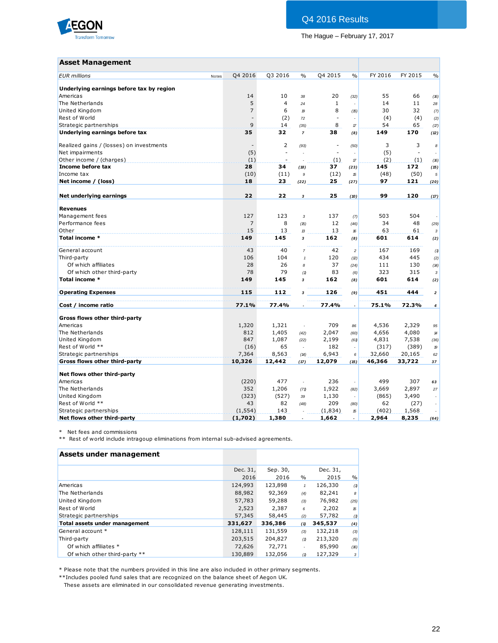

## Q4 2016 Results

The Hague – February 17, 2017

## **Asset Management**

| <b>Asset Management</b>                  |       |                          |                |                |              |                            |         |         |                            |
|------------------------------------------|-------|--------------------------|----------------|----------------|--------------|----------------------------|---------|---------|----------------------------|
| <b>EUR</b> millions                      | Notes | Q4 2016                  | Q3 2016        | $\frac{0}{0}$  | Q4 2015      | $\frac{0}{0}$              | FY 2016 | FY 2015 | $\frac{0}{0}$              |
| Underlying earnings before tax by region |       |                          |                |                |              |                            |         |         |                            |
| Americas                                 |       | 14                       | 10             | 38             | 20           | (32)                       | 55      | 66      | (16)                       |
| The Netherlands                          |       | 5                        | $\overline{4}$ | 24             | $\mathbf{1}$ | $\sim$                     | 14      | 11      | 28                         |
| United Kingdom                           |       | $\overline{7}$           | 6              | 19             | 8            | (15)                       | 30      | 32      | (7)                        |
| Rest of World                            |       | $\overline{\phantom{a}}$ | (2)            | 72             | $\sim$       | $\overline{\phantom{a}}$   | (4)     | (4)     | (2)                        |
| Strategic partnerships                   |       | 9                        | 14             | (35)           | 8            | $\boldsymbol{\mathcal{T}}$ | 54      | 65      | (17)                       |
| Underlying earnings before tax           |       | 35                       | 32             | $\overline{7}$ | 38           | (8)                        | 149     | 170     | (12)                       |
| Realized gains / (losses) on investments |       |                          | $\overline{2}$ | (93)           | $\sim$       | (50)                       | 3       | 3       | 8                          |
| Net impairments                          |       | (5)                      | L,             |                | ÷,           |                            | (5)     | ÷,      |                            |
| Other income / (charges)                 |       | (1)                      |                |                | (1)          | $\boldsymbol{\mathcal{T}}$ | (2)     | (1)     | (16)                       |
| Income before tax                        |       | 28                       | 34             | (18)           | 37           | (23)                       | 145     | 172     | (15)                       |
| Income tax                               |       | (10)                     | (11)           | 9              | (12)         | 15                         | (48)    | (50)    | $\sqrt{5}$                 |
| Net income / (loss)                      |       | 18                       | 23             | (22)           | 25           | (27)                       | 97      | 121     | (20)                       |
| Net underlying earnings                  |       | 22                       | 22             | 3              | 25           | (10)                       | 99      | 120     | (17)                       |
| <b>Revenues</b>                          |       |                          |                |                |              |                            |         |         |                            |
| Management fees                          |       | 127                      | 123            | 3              | 137          | (7)                        | 503     | 504     |                            |
| Performance fees                         |       | $\overline{7}$           | 8              | (15)           | 12           | (46)                       | 34      | 48      | (29)                       |
| Other                                    |       | 15                       | 13             | 13             | 13           | 16                         | 63      | 61      | 3                          |
| Total income *                           |       | 149                      | 145            | 3              | 162          | (8)                        | 601     | 614     | (2)                        |
| General account                          |       | 43                       | 40             | $\overline{7}$ | 42           | $\overline{\mathbf{c}}$    | 167     | 169     | (1)                        |
| Third-party                              |       | 106                      | 104            | $\mathbf{1}$   | 120          | (2)                        | 434     | 445     | (2)                        |
| Of which affiliates                      |       | 28                       | 26             | 8              | 37           | (24)                       | 111     | 130     | (14)                       |
| Of which other third-party               |       | 78                       | 79             | (1)            | 83           | (6)                        | 323     | 315     | $\sqrt{3}$                 |
| Total income *                           |       | 149                      | 145            | 3              | 162          | (8)                        | 601     | 614     | (2)                        |
| <b>Operating Expenses</b>                |       | 115                      | 112            | 3              | 126          | (9)                        | 451     | 444     | $\overline{\mathbf{z}}$    |
| Cost / income ratio                      |       | 77.1%                    | 77.4%          | $\overline{a}$ | 77.4%        | $\overline{a}$             | 75.1%   | 72.3%   | 4                          |
| Gross flows other third-party            |       |                          |                |                |              |                            |         |         |                            |
| Americas                                 |       | 1,320                    | 1,321          | ÷,             | 709          | 86                         | 4,536   | 2,329   | 95                         |
| The Netherlands                          |       | 812                      | 1,405          | (42)           | 2,047        | (60)                       | 4,656   | 4,080   | $\boldsymbol{\mathcal{H}}$ |
| United Kingdom                           |       | 847                      | 1,087          | (22)           | 2,199        | (61)                       | 4,831   | 7,538   | (36)                       |
| Rest of World **                         |       | (16)                     | 65             | ÷,             | 182          | $\sim$                     | (317)   | (389)   | $\mathcal{D}$              |
| Strategic partnerships                   |       | 7,364                    | 8,563          | (14)           | 6,943        | 6                          | 32,660  | 20,165  | 62                         |
| Gross flows other third-party            |       | 10,326                   | 12,442         | (17)           | 12,079       | (15)                       | 46,366  | 33,722  | 37                         |
|                                          |       |                          |                |                |              |                            |         |         |                            |
| Net flows other third-party              |       |                          |                |                |              |                            |         |         |                            |
| Americas                                 |       | (220)                    | 477            | ÷,             | 236          | $\overline{\phantom{a}}$   | 499     | 307     | 63                         |
| The Netherlands                          |       | 352                      | 1,206          | (71)           | 1,922        | (82)                       | 3,669   | 2,897   | 27                         |
| United Kingdom                           |       | (323)                    | (527)          | 39             | 1,130        |                            | (865)   | 3,490   |                            |
| Rest of World **                         |       | 43                       | 82             | (48)           | 209          | (80)                       | 62      | (27)    |                            |
| Strategic partnerships                   |       | (1, 554)                 | 143            |                | (1,834)      | 15                         | (402)   | 1,568   |                            |
| Net flows other third-party              |       | (1,702)                  | 1,380          |                | 1,662        |                            | 2,964   | 8,235   | (64)                       |

\* Net fees and commissions

\*\* Rest of world include intragoup eliminations from internal sub-advised agreements.

| Assets under management       |          |          |               |          |      |
|-------------------------------|----------|----------|---------------|----------|------|
|                               | Dec. 31, | Sep. 30, |               | Dec. 31, |      |
|                               | 2016     | 2016     | $\frac{0}{0}$ | 2015     | $\%$ |
| Americas                      | 124,993  | 123,898  | $\mathbf{1}$  | 126,330  | (1)  |
| The Netherlands               | 88,982   | 92,369   | (4)           | 82,241   | 8    |
| United Kingdom                | 57,783   | 59,288   | (3)           | 76,982   | (25) |
| Rest of World                 | 2,523    | 2,387    | 6             | 2,202    | 15   |
| Strategic partnerships        | 57,345   | 58,445   | (2)           | 57,782   | (1)  |
| Total assets under management | 331,627  | 336,386  | (1)           | 345,537  | (4)  |
| General account *             | 128,111  | 131,559  | (3)           | 132,218  | (3)  |
| Third-party                   | 203,515  | 204,827  | (1)           | 213,320  | (5)  |
| Of which affiliates *         | 72,626   | 72,771   |               | 85,990   | (16) |
| Of which other third-party ** | 130,889  | 132,056  | (1)           | 127,329  | 3    |

\* Please note that the numbers provided in this line are also included in other primary segments.

\*\*Includes pooled fund sales that are recognized on the balance sheet of Aegon UK.

These assets are eliminated in our consolidated revenue generating investments.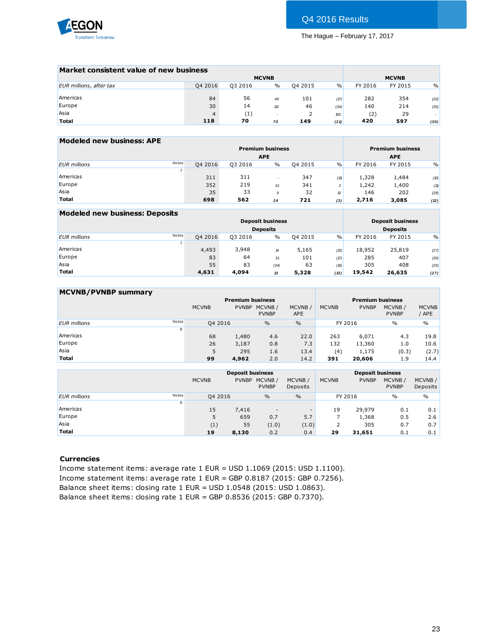

| Market consistent value of new business |                   |      |              |      |         |              |        |
|-----------------------------------------|-------------------|------|--------------|------|---------|--------------|--------|
|                                         |                   |      |              |      |         | <b>MCVNB</b> |        |
| Q4 2016                                 | Q3 2016           | $\%$ | Q4 2015      | $\%$ | FY 2016 | FY 2015      | $\%$   |
|                                         |                   |      |              |      |         |              |        |
| 84                                      |                   | 49   | 101          | (17) | 282     | 354          | (20)   |
| 30                                      | 14                | 12   | 46           | (34) | 140     | 214          | (35)   |
| $\overline{4}$                          | $\left( 1\right)$ |      |              | 150  | (2)     | 29           | $\sim$ |
| 118                                     | 70                | 70   | 149          | (21) | 420     | 597          | (30)   |
|                                         |                   | 56   | <b>MCVNB</b> |      |         |              |        |

| Modeled new business: APE |                |         |         |                         |         |               |         |                         |      |
|---------------------------|----------------|---------|---------|-------------------------|---------|---------------|---------|-------------------------|------|
|                           |                |         |         | <b>Premium business</b> |         |               |         | <b>Premium business</b> |      |
|                           |                |         |         | <b>APE</b>              |         |               |         | <b>APE</b>              |      |
| <b>EUR</b> millions       | Notes          | Q4 2016 | Q3 2016 | $\frac{0}{0}$           | 04 2015 | $\frac{9}{6}$ | FY 2016 | FY 2015                 | $\%$ |
|                           | $\overline{7}$ |         |         |                         |         |               |         |                         |      |
| Americas                  |                | 311     | 311     |                         | 347     | (11)          | 1,328   | 1,484                   | (10) |
| Europe                    |                | 352     | 219     | 61                      | 341     | 3             | 1,242   | 1,400                   | (11) |
| Asia                      |                | 35      | 33      | 9                       | 32      | 10            | 146     | 202                     | (28) |
| <b>Total</b>              |                | 698     | 562     | 24                      | 721     | (3)           | 2,716   | 3,085                   | (12) |
|                           |                |         |         |                         |         |               |         |                         |      |

| <b>Modeled new business: Deposits</b> |                |         |         |                         |         |      |         |                         |      |
|---------------------------------------|----------------|---------|---------|-------------------------|---------|------|---------|-------------------------|------|
|                                       |                |         |         | <b>Deposit business</b> |         |      |         | <b>Deposit business</b> |      |
|                                       |                |         |         | <b>Deposits</b>         |         |      |         | <b>Deposits</b>         |      |
| <b>EUR</b> millions                   | Notes          | 04 2016 | 03 2016 | $\%$                    | 04 2015 | $\%$ | FY 2016 | FY 2015                 | $\%$ |
|                                       | $\overline{ }$ |         |         |                         |         |      |         |                         |      |
| Americas                              |                | 4,493   | 3,948   | 14                      | 5,165   | (13) | 18,952  | 25,819                  | (27) |
| Europe                                |                | 83      | 64      | 31                      | 101     | (17) | 285     | 407                     | (30) |
| Asia                                  |                | 55      | 83      | (34)                    | 63      | (14) | 305     | 408                     | (25) |
| <b>Total</b>                          |                | 4,631   | 4,094   | 13                      | 5,328   | (13) | 19,542  | 26,635                  | (27) |

| <b>MCVNB/PVNBP summary</b> |       |              |              |                         |                      |              |                         |                        |                       |
|----------------------------|-------|--------------|--------------|-------------------------|----------------------|--------------|-------------------------|------------------------|-----------------------|
|                            |       |              |              | <b>Premium business</b> |                      |              | <b>Premium business</b> |                        |                       |
|                            |       | <b>MCVNB</b> | <b>PVNBP</b> | MCVNB/<br><b>PVNBP</b>  | MCVNB/<br><b>APE</b> | <b>MCVNB</b> | <b>PVNBP</b>            | MCVNB/<br><b>PVNBP</b> | <b>MCVNB</b><br>/ APE |
| <b>EUR</b> millions        | Notes | Q4 2016      |              | $\frac{0}{0}$           | $\frac{0}{0}$        |              | FY 2016                 | $\frac{0}{0}$          | $\%$                  |
|                            | 8     |              |              |                         |                      |              |                         |                        |                       |
| Americas                   |       | 68           | 1,480        | 4.6                     | 22.0                 | 263          | 6,071                   | 4.3                    | 19.8                  |
| Europe                     |       | 26           | 3,187        | 0.8                     | 7.3                  | 132          | 13,360                  | 1.0                    | 10.6                  |
| Asia                       |       | 5            | 295          | 1.6                     | 13.4                 | (4)          | 1,175                   | (0.3)                  | (2.7)                 |
| <b>Total</b>               |       | 99           | 4,962        | 2.0                     | 14.2                 | 391          | 20,606                  | 1.9                    | 14.4                  |
|                            |       |              |              |                         |                      |              |                         |                        |                       |

|                              |              | <b>Deposit business</b> |                          |                          |              | <b>Deposit business</b> |                        |                    |
|------------------------------|--------------|-------------------------|--------------------------|--------------------------|--------------|-------------------------|------------------------|--------------------|
|                              | <b>MCVNB</b> | <b>PVNBP</b>            | MCVNB/<br><b>PVNBP</b>   | MCVNB/<br>Deposits       | <b>MCVNB</b> | <b>PVNBP</b>            | MCVNB/<br><b>PVNBP</b> | MCVNB/<br>Deposits |
| Notes<br><b>EUR</b> millions | Q4 2016      |                         | $\frac{0}{0}$            | $\frac{0}{0}$            |              | FY 2016                 | $\%$                   | $\%$               |
| 8                            |              |                         |                          |                          |              |                         |                        |                    |
| Americas                     | 15           | 7,416                   | $\overline{\phantom{a}}$ | $\overline{\phantom{a}}$ | 19           | 29,979                  | 0.1                    | 0.1                |
| Europe                       | 5            | 659                     | 0.7                      | 5.7                      |              | 1,368                   | 0.5                    | 2.6                |
| Asia                         | (1)          | 55                      | (1.0)                    | (1.0)                    |              | 305                     | 0.7                    | 0.7                |
| <b>Total</b>                 | 19           | 8,130                   | 0.2                      | 0.4                      | 29           | 31,651                  | 0.1                    | 0.1                |
|                              |              |                         |                          |                          |              |                         |                        |                    |

#### **Currencies**

Income statement items: average rate 1 EUR = USD 1.1069 (2015: USD 1.1100). Income statement items: average rate 1 EUR = GBP 0.8187 (2015: GBP 0.7256). Balance sheet items: closing rate 1 EUR = USD 1.0548 (2015: USD 1.0863). Balance sheet items: closing rate 1 EUR = GBP 0.8536 (2015: GBP 0.7370).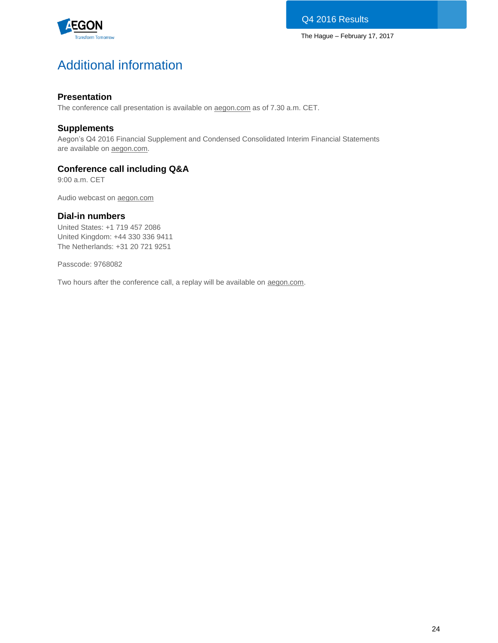

# Additional information

## **Presentation**

The conference call presentation is available on [aegon.com](http://www.aegon.com/results) as of 7.30 a.m. CET.

## **Supplements**

Aegon's Q4 2016 Financial Supplement and Condensed Consolidated Interim Financial Statements are available on [aegon.com.](http://www.aegon.com/results)

## **Conference call including Q&A**

9:00 a.m. CET

Audio webcast on [aegon.com](http://www.aegon.com/results)

## **Dial-in numbers**

United States: +1 719 457 2086 United Kingdom: +44 330 336 9411 The Netherlands: +31 20 721 9251

Passcode: 9768082

Two hours after the conference call, a replay will be available on [aegon.com.](http://www.aegon.com/results)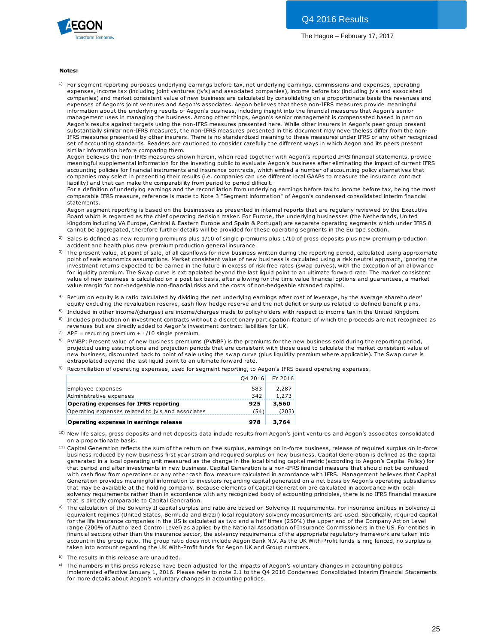

#### **Notes:**

 $^{1)}$  For segment reporting purposes underlying earnings before tax, net underlying earnings, commissions and expenses, operating expenses, income tax (including joint ventures (jv's) and associated companies), income before tax (including jv's and associated **tes:**<br>For segment reporting purposes underlying earnings before tax, net underlying earnings, commissions and expenses, operating<br>expenses, income tax (including joint ventures (jv's) and associated companies), income bef expenses of Aegon's joint ventures and Aegon's associates. Aegon believes that these non-IFRS measures provide meaningful information about the underlying results of Aegon's business, including insight into the financial measures that Aegon's senior management uses in managing the business. Among other things, Aegon's senior management is compensated based in part on Aegon's results against targets using the non-IFRS measures presented here. While other insurers in Aegon's peer group present substantially similar non-IFRS measures, the non-IFRS measures presented in this document may nevertheless differ from the non-IFRS measures presented by other insurers. There is no standardized meaning to these measures under IFRS or any other recognized set of accounting standards. Readers are cautioned to consider carefully the different ways in which Aegon and its peers present similar information before comparing them.

Aegon believes the non-IFRS measures shown herein, when read together with Aegon's reported IFRS financial statements, provide meaningful supplemental information for the investing public to evaluate Aegon's business after eliminating the impact of current IFRS accounting policies for financial instruments and insurance contracts, which embed a number of accounting policy alternatives that companies may select in presenting their results (i.e. companies can use different local GAAPs to measure the insurance contract liability) and that can make the comparability from period to period difficult.

For a definition of underlying earnings and the reconciliation from underlying earnings before tax to income before tax, being the most comparable IFRS measure, reference is made to Note 3 "Segment information" of Aegon's condensed consolidated interim financial statements.

Aegon segment reporting is based on the businesses as presented in internal reports that are regularly reviewed by the Executive Board which is regarded as the chief operating decision maker. For Europe, the underlying businesses (the Netherlands, United Kingdom including VA Europe, Central & Eastern Europe and Spain & Portugal) are separate operating segments which under IFRS 8 cannot be aggregated, therefore further details will be provided for these operating segments in the Europe section. statements.<br>Aegon segment reporting is based on the businesses as presented in internal reports that are regularly reviewed by the Executive<br>Board which is regarded as the chief operating decision maker. For Europe, the un Aegon segment reporting is based on the businesses as presented ir<br>Board which is regarded as the chief operating decision maker. For Ekingdom including VA Europe, Central & Eastern Europe and Spain & l<br>Cannot be aggregate Board which is regarded as the chief operating decision maker. For Europe, the underlying businesses (the Netherlands, United<br>Kingdom including VA Europe, Central & Eastern Europe and Spain & Portugal) are separate operati

- 2)
- 3) The present value, at point of sale, of all cashflows for new business written during the reporting period, calculated using approximate Kingdom including VA Europe, Central & Eastern Europe and Spain & Portugal) are separate operating segments which under IFRS 8<br>Cannot be aggregated, therefore further details will be provided for these operating segments i investment returns expected to be earned in the future in excess of risk free rates (swap curves), with the exception of an allowance for liquidity premium. The Swap curve is extrapolated beyond the last liquid point to an ultimate forward rate. The market consistent value of new business is calculated on a post tax basis, after allowing for the time val accident and health plus new premium production general insurance.<br>The present value, at point of sale, of all cashflows for new business written during the reporting period, calculated using approximate<br>point of sale econ value margin for non-hedgeable non-financial risks and the costs of non-hedgeable stranded capital.
- $^{4)}$  Return on equity is a ratio calculated by dividing the net underlying earnings after cost of leverage, by the average shareholders' equity excluding the revaluation reserve, cash flow hedge reserve and the net deficit or surplus related to defined benefit plans.
- <sup>5)</sup> Included in other income/(charges) are income/charges made to policyholders with respect to income tax in the United Kingdom.
- $^{6)}$  Includes production on investment contracts without a discretionary participation feature of which the proceeds are not recognized as revenues but are directly added to Aegon's investment contract liabilities for UK.
- <sup>7)</sup> APE = recurring premium +  $1/10$  single premium.
- <sup>8)</sup> PVNBP: Present value of new business premiums (PVNBP) is the premiums for the new business sold during the reporting period, equity excluding the revaluation reserve, cash how helge reserve and the het delict or surplus related to defined benefit plans.<br>Included in other income/(charges) are income/charges made to policyholders with respect to i Includes production on investment contracts without a discretionary participation feature of which the proceeds are not recognized<br>revenues but are directly added to Aegon's investment contract liabilities for UK.<br>APE = re extrapolated beyond the last liquid point to an ultimate forward rate.
- $^{9)}$  Reconciliation of operating expenses, used for segment reporting, to Aegon's IFRS based operating expenses.

|                                                   | 04 2016 | FY 2016 |
|---------------------------------------------------|---------|---------|
| Employee expenses                                 | 583     | 2,287   |
| Administrative expenses                           | 342     | 1,273   |
| <b>Operating expenses for IFRS reporting</b>      | 925     | 3,560   |
| Operating expenses related to jv's and associates | (54)    | (203)   |
| Operating expenses in earnings release            | 978     | 3,764   |

- 10) on a proportionate basis.
- <sup>11)</sup> Capital Generation reflects the sum of the return on free surplus, earnings on in-force business, release of required surplus on in-force .<br>a ) **Operating expenses in earnings release 978 3,764**<br>
New life sales, gross deposits and net deposits data include results from Aegon's joint ventures and Aegon's associates consolidated<br>
on a proportionate basis.<br>
Capital generated in a local operating unit measured as the change in the local binding capital metric (according to Aegon's Capital Policy) for<br>that period and after investments in new business. Capital Generation is a non-IFRS f New life sales, gross deposits and net deposits data include results from Aegon's joint ventures and Aegon's associates consolidate<br>on a proportionate basis.<br>Capital Generation reflects the sum of the return on free surplu on a proportionate basis.<br>Capital Generation reflects the sum of the return on free surplus, earnings on in-force business, release of required surplus on in-force<br>business reduced by new business first year strain and req Generation provides meaningful information to investors regarding capital generated on a net basis by Aegon's operating subsidiaries that may be available at the holding company. Because elements of Capital Generation are calculated in accordance with local solvency requirements rather than in accordance with any recognized body of accounting principles, there is no IFRS financial measure that is directly comparable to Capital Generation.
- a) The calculation of the Solvency II capital surplus and ratio are based on Solvency II requirements. For insurance entities in Solvency II equivalent regimes (United States, Bermuda and Brazil) local regulatory solvency measurements are used. Specifically, required capital for the life insurance companies in the US is calculated as two and a half times (250%) the upper end of the Company Action Level range (200% of Authorized Control Level) as applied by the National Association of Insurance Commissioners in the US. For entities in financial sectors other than the insurance sector, the solvency requirements of the appropriate regulatory framework are taken into account in the group ratio. The group ratio does not include Aegon Bank N.V. As the UK With-Profit funds is ring fenced, no surplus is taken into account regarding the UK With-Profit funds for Aegon UK and Group numbers.
- b) The results in this release are unaudited.

<sup>c)</sup> The numbers in this press release have been adjusted for the impacts of Aegon's voluntary changes in accounting policies implemented effective January 1, 2016. Please refer to note 2.1 to the Q4 2016 Condensed Consolidated Interim Financial Statements for more details about Aegon's voluntary changes in accounting policies.